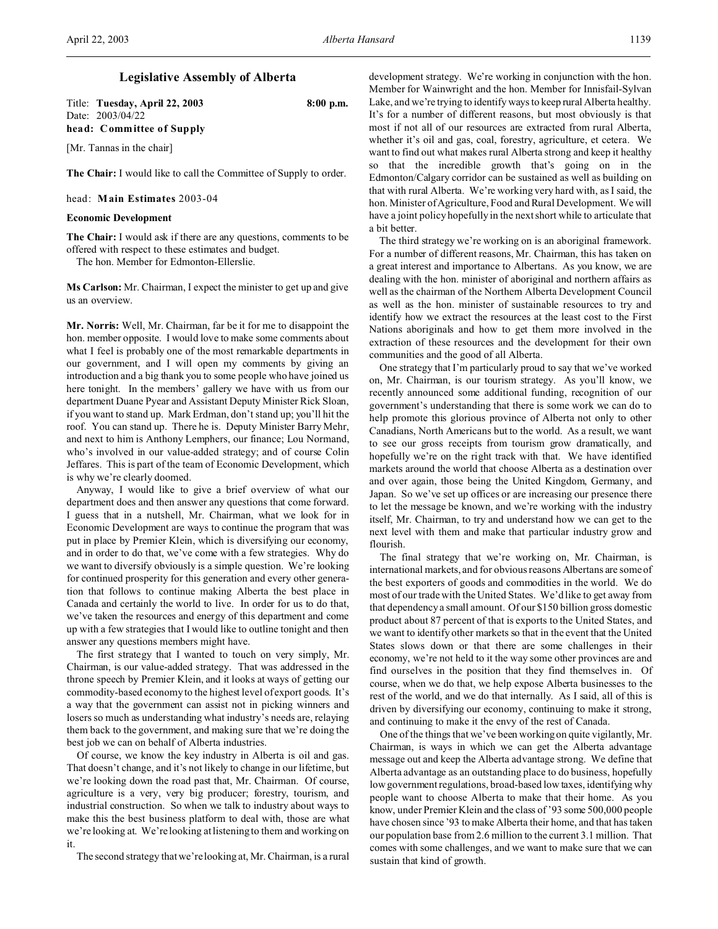## **Legislative Assembly of Alberta**

Title: **Tuesday, April 22, 2003 8:00 p.m.** Date: 2003/04/22 **head: Committee of Supply**

[Mr. Tannas in the chair]

**The Chair:** I would like to call the Committee of Supply to order.

head: **Main Estimates** 2003-04

## **Economic Development**

**The Chair:** I would ask if there are any questions, comments to be offered with respect to these estimates and budget.

The hon. Member for Edmonton-Ellerslie.

**Ms Carlson:** Mr. Chairman, I expect the minister to get up and give us an overview.

**Mr. Norris:** Well, Mr. Chairman, far be it for me to disappoint the hon. member opposite. I would love to make some comments about what I feel is probably one of the most remarkable departments in our government, and I will open my comments by giving an introduction and a big thank you to some people who have joined us here tonight. In the members' gallery we have with us from our department Duane Pyear and Assistant Deputy Minister Rick Sloan, if you want to stand up. Mark Erdman, don't stand up; you'll hit the roof. You can stand up. There he is. Deputy Minister Barry Mehr, and next to him is Anthony Lemphers, our finance; Lou Normand, who's involved in our value-added strategy; and of course Colin Jeffares. This is part of the team of Economic Development, which is why we're clearly doomed.

Anyway, I would like to give a brief overview of what our department does and then answer any questions that come forward. I guess that in a nutshell, Mr. Chairman, what we look for in Economic Development are ways to continue the program that was put in place by Premier Klein, which is diversifying our economy, and in order to do that, we've come with a few strategies. Why do we want to diversify obviously is a simple question. We're looking for continued prosperity for this generation and every other generation that follows to continue making Alberta the best place in Canada and certainly the world to live. In order for us to do that, we've taken the resources and energy of this department and come up with a few strategies that I would like to outline tonight and then answer any questions members might have.

The first strategy that I wanted to touch on very simply, Mr. Chairman, is our value-added strategy. That was addressed in the throne speech by Premier Klein, and it looks at ways of getting our commodity-based economy to the highest level of export goods. It's a way that the government can assist not in picking winners and losers so much as understanding what industry's needs are, relaying them back to the government, and making sure that we're doing the best job we can on behalf of Alberta industries.

Of course, we know the key industry in Alberta is oil and gas. That doesn't change, and it's not likely to change in our lifetime, but we're looking down the road past that, Mr. Chairman. Of course, agriculture is a very, very big producer; forestry, tourism, and industrial construction. So when we talk to industry about ways to make this the best business platform to deal with, those are what we're looking at. We're looking at listening to them and working on it.

The second strategy that we're looking at, Mr. Chairman, is a rural

development strategy. We're working in conjunction with the hon. Member for Wainwright and the hon. Member for Innisfail-Sylvan Lake, and we're trying to identify ways to keep rural Alberta healthy. It's for a number of different reasons, but most obviously is that most if not all of our resources are extracted from rural Alberta, whether it's oil and gas, coal, forestry, agriculture, et cetera. We want to find out what makes rural Alberta strong and keep it healthy so that the incredible growth that's going on in the Edmonton/Calgary corridor can be sustained as well as building on that with rural Alberta. We're working very hard with, as I said, the hon. Minister of Agriculture, Food and Rural Development. We will have a joint policy hopefully in the next short while to articulate that a bit better.

The third strategy we're working on is an aboriginal framework. For a number of different reasons, Mr. Chairman, this has taken on a great interest and importance to Albertans. As you know, we are dealing with the hon. minister of aboriginal and northern affairs as well as the chairman of the Northern Alberta Development Council as well as the hon. minister of sustainable resources to try and identify how we extract the resources at the least cost to the First Nations aboriginals and how to get them more involved in the extraction of these resources and the development for their own communities and the good of all Alberta.

One strategy that I'm particularly proud to say that we've worked on, Mr. Chairman, is our tourism strategy. As you'll know, we recently announced some additional funding, recognition of our government's understanding that there is some work we can do to help promote this glorious province of Alberta not only to other Canadians, North Americans but to the world. As a result, we want to see our gross receipts from tourism grow dramatically, and hopefully we're on the right track with that. We have identified markets around the world that choose Alberta as a destination over and over again, those being the United Kingdom, Germany, and Japan. So we've set up offices or are increasing our presence there to let the message be known, and we're working with the industry itself, Mr. Chairman, to try and understand how we can get to the next level with them and make that particular industry grow and flourish.

The final strategy that we're working on, Mr. Chairman, is international markets, and for obvious reasons Albertans are some of the best exporters of goods and commodities in the world. We do most of our trade with the United States. We'd like to get away from that dependency a small amount. Of our \$150 billion gross domestic product about 87 percent of that is exports to the United States, and we want to identify other markets so that in the event that the United States slows down or that there are some challenges in their economy, we're not held to it the way some other provinces are and find ourselves in the position that they find themselves in. Of course, when we do that, we help expose Alberta businesses to the rest of the world, and we do that internally. As I said, all of this is driven by diversifying our economy, continuing to make it strong, and continuing to make it the envy of the rest of Canada.

One of the things that we've been working on quite vigilantly, Mr. Chairman, is ways in which we can get the Alberta advantage message out and keep the Alberta advantage strong. We define that Alberta advantage as an outstanding place to do business, hopefully low government regulations, broad-based low taxes, identifying why people want to choose Alberta to make that their home. As you know, under Premier Klein and the class of '93 some 500,000 people have chosen since '93 to make Alberta their home, and that has taken our population base from 2.6 million to the current 3.1 million. That comes with some challenges, and we want to make sure that we can sustain that kind of growth.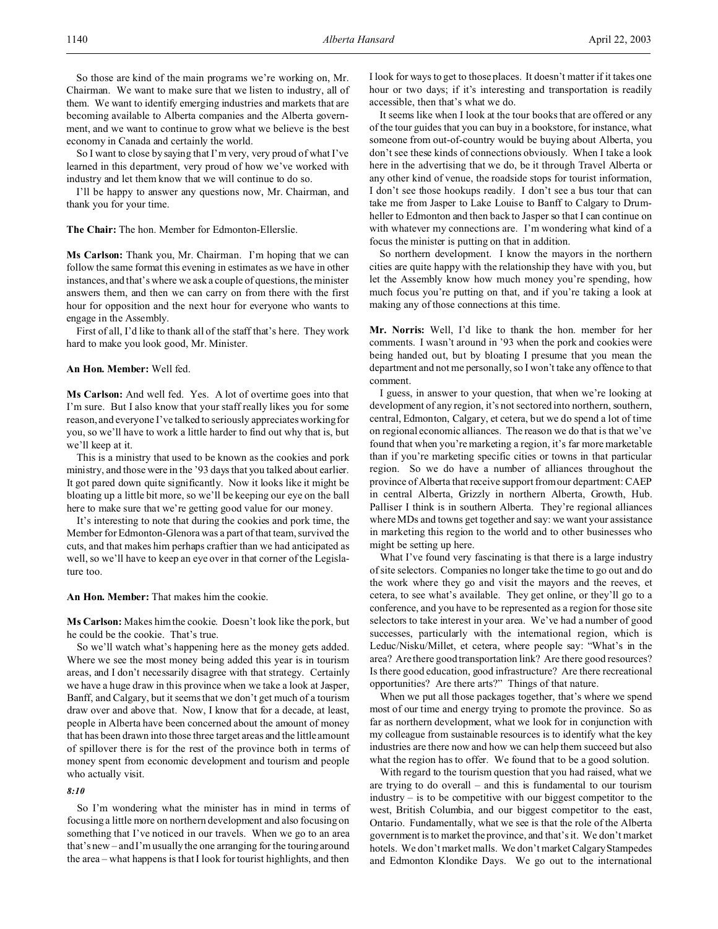So those are kind of the main programs we're working on, Mr. Chairman. We want to make sure that we listen to industry, all of them. We want to identify emerging industries and markets that are becoming available to Alberta companies and the Alberta government, and we want to continue to grow what we believe is the best economy in Canada and certainly the world.

So I want to close by saying that I'm very, very proud of what I've learned in this department, very proud of how we've worked with industry and let them know that we will continue to do so.

I'll be happy to answer any questions now, Mr. Chairman, and thank you for your time.

## **The Chair:** The hon. Member for Edmonton-Ellerslie.

**Ms Carlson:** Thank you, Mr. Chairman. I'm hoping that we can follow the same format this evening in estimates as we have in other instances, and that's where we ask a couple of questions, the minister answers them, and then we can carry on from there with the first hour for opposition and the next hour for everyone who wants to engage in the Assembly.

First of all, I'd like to thank all of the staff that's here. They work hard to make you look good, Mr. Minister.

## **An Hon. Member:** Well fed.

**Ms Carlson:** And well fed. Yes. A lot of overtime goes into that I'm sure. But I also know that your staff really likes you for some reason, and everyone I've talked to seriously appreciates working for you, so we'll have to work a little harder to find out why that is, but we'll keep at it.

This is a ministry that used to be known as the cookies and pork ministry, and those were in the '93 days that you talked about earlier. It got pared down quite significantly. Now it looks like it might be bloating up a little bit more, so we'll be keeping our eye on the ball here to make sure that we're getting good value for our money.

It's interesting to note that during the cookies and pork time, the Member for Edmonton-Glenora was a part of that team, survived the cuts, and that makes him perhaps craftier than we had anticipated as well, so we'll have to keep an eye over in that corner of the Legislature too.

**An Hon. Member:** That makes him the cookie.

**Ms Carlson:** Makes him the cookie. Doesn't look like the pork, but he could be the cookie. That's true.

So we'll watch what's happening here as the money gets added. Where we see the most money being added this year is in tourism areas, and I don't necessarily disagree with that strategy. Certainly we have a huge draw in this province when we take a look at Jasper, Banff, and Calgary, but it seems that we don't get much of a tourism draw over and above that. Now, I know that for a decade, at least, people in Alberta have been concerned about the amount of money that has been drawn into those three target areas and the little amount of spillover there is for the rest of the province both in terms of money spent from economic development and tourism and people who actually visit.

## *8:10*

So I'm wondering what the minister has in mind in terms of focusing a little more on northern development and also focusing on something that I've noticed in our travels. When we go to an area that's new – and I'm usually the one arranging for the touring around the area – what happens is that I look for tourist highlights, and then

I look for ways to get to those places. It doesn't matter if it takes one hour or two days; if it's interesting and transportation is readily accessible, then that's what we do.

It seems like when I look at the tour books that are offered or any of the tour guides that you can buy in a bookstore, for instance, what someone from out-of-country would be buying about Alberta, you don't see these kinds of connections obviously. When I take a look here in the advertising that we do, be it through Travel Alberta or any other kind of venue, the roadside stops for tourist information, I don't see those hookups readily. I don't see a bus tour that can take me from Jasper to Lake Louise to Banff to Calgary to Drumheller to Edmonton and then back to Jasper so that I can continue on with whatever my connections are. I'm wondering what kind of a focus the minister is putting on that in addition.

So northern development. I know the mayors in the northern cities are quite happy with the relationship they have with you, but let the Assembly know how much money you're spending, how much focus you're putting on that, and if you're taking a look at making any of those connections at this time.

**Mr. Norris:** Well, I'd like to thank the hon. member for her comments. I wasn't around in '93 when the pork and cookies were being handed out, but by bloating I presume that you mean the department and not me personally, so I won't take any offence to that comment.

I guess, in answer to your question, that when we're looking at development of any region, it's not sectored into northern, southern, central, Edmonton, Calgary, et cetera, but we do spend a lot of time on regional economic alliances. The reason we do that is that we've found that when you're marketing a region, it's far more marketable than if you're marketing specific cities or towns in that particular region. So we do have a number of alliances throughout the province of Alberta that receive support from our department: CAEP in central Alberta, Grizzly in northern Alberta, Growth, Hub. Palliser I think is in southern Alberta. They're regional alliances where MDs and towns get together and say: we want your assistance in marketing this region to the world and to other businesses who might be setting up here.

What I've found very fascinating is that there is a large industry of site selectors. Companies no longer take the time to go out and do the work where they go and visit the mayors and the reeves, et cetera, to see what's available. They get online, or they'll go to a conference, and you have to be represented as a region for those site selectors to take interest in your area. We've had a number of good successes, particularly with the international region, which is Leduc/Nisku/Millet, et cetera, where people say: "What's in the area? Are there good transportation link? Are there good resources? Is there good education, good infrastructure? Are there recreational opportunities? Are there arts?" Things of that nature.

When we put all those packages together, that's where we spend most of our time and energy trying to promote the province. So as far as northern development, what we look for in conjunction with my colleague from sustainable resources is to identify what the key industries are there now and how we can help them succeed but also what the region has to offer. We found that to be a good solution.

With regard to the tourism question that you had raised, what we are trying to do overall – and this is fundamental to our tourism industry – is to be competitive with our biggest competitor to the west, British Columbia, and our biggest competitor to the east, Ontario. Fundamentally, what we see is that the role of the Alberta government is to market the province, and that's it. We don't market hotels. We don't market malls. We don't market Calgary Stampedes and Edmonton Klondike Days. We go out to the international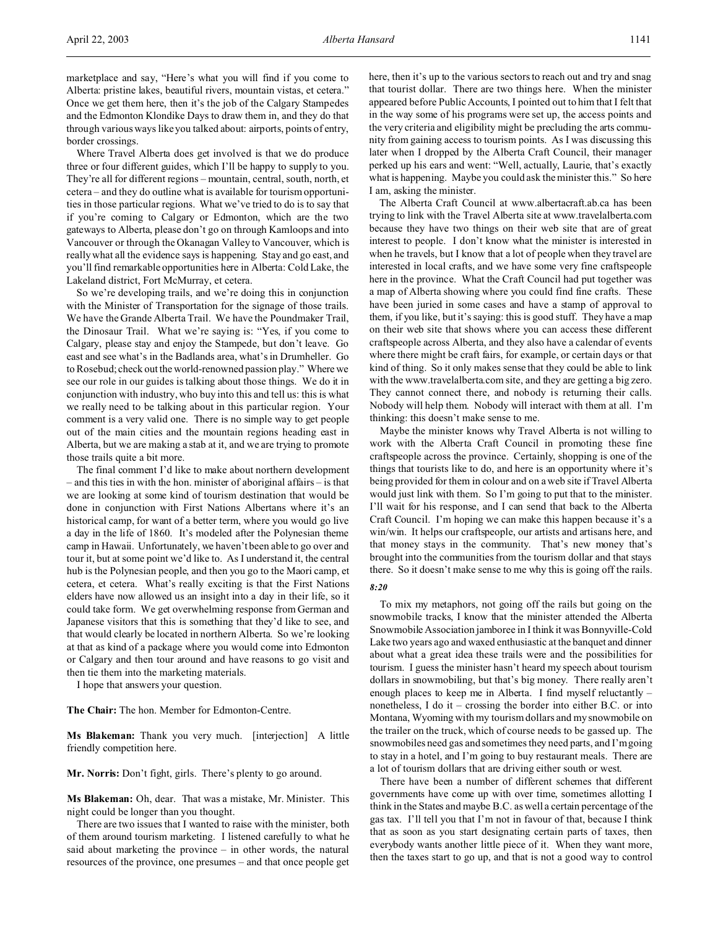marketplace and say, "Here's what you will find if you come to Alberta: pristine lakes, beautiful rivers, mountain vistas, et cetera." Once we get them here, then it's the job of the Calgary Stampedes and the Edmonton Klondike Days to draw them in, and they do that through various ways like you talked about: airports, points of entry, border crossings.

Where Travel Alberta does get involved is that we do produce three or four different guides, which I'll be happy to supply to you. They're all for different regions – mountain, central, south, north, et cetera – and they do outline what is available for tourism opportunities in those particular regions. What we've tried to do is to say that if you're coming to Calgary or Edmonton, which are the two gateways to Alberta, please don't go on through Kamloops and into Vancouver or through the Okanagan Valley to Vancouver, which is really what all the evidence says is happening. Stay and go east, and you'll find remarkable opportunities here in Alberta: Cold Lake, the Lakeland district, Fort McMurray, et cetera.

So we're developing trails, and we're doing this in conjunction with the Minister of Transportation for the signage of those trails. We have the Grande Alberta Trail. We have the Poundmaker Trail, the Dinosaur Trail. What we're saying is: "Yes, if you come to Calgary, please stay and enjoy the Stampede, but don't leave. Go east and see what's in the Badlands area, what's in Drumheller. Go to Rosebud; check out the world-renowned passion play." Where we see our role in our guides is talking about those things. We do it in conjunction with industry, who buy into this and tell us: this is what we really need to be talking about in this particular region. Your comment is a very valid one. There is no simple way to get people out of the main cities and the mountain regions heading east in Alberta, but we are making a stab at it, and we are trying to promote those trails quite a bit more.

The final comment I'd like to make about northern development – and this ties in with the hon. minister of aboriginal affairs – is that we are looking at some kind of tourism destination that would be done in conjunction with First Nations Albertans where it's an historical camp, for want of a better term, where you would go live a day in the life of 1860. It's modeled after the Polynesian theme camp in Hawaii. Unfortunately, we haven't been able to go over and tour it, but at some point we'd like to. As I understand it, the central hub is the Polynesian people, and then you go to the Maori camp, et cetera, et cetera. What's really exciting is that the First Nations elders have now allowed us an insight into a day in their life, so it could take form. We get overwhelming response from German and Japanese visitors that this is something that they'd like to see, and that would clearly be located in northern Alberta. So we're looking at that as kind of a package where you would come into Edmonton or Calgary and then tour around and have reasons to go visit and then tie them into the marketing materials.

I hope that answers your question.

**The Chair:** The hon. Member for Edmonton-Centre.

**Ms Blakeman:** Thank you very much. [interjection] A little friendly competition here.

**Mr. Norris:** Don't fight, girls. There's plenty to go around.

**Ms Blakeman:** Oh, dear. That was a mistake, Mr. Minister. This night could be longer than you thought.

There are two issues that I wanted to raise with the minister, both of them around tourism marketing. I listened carefully to what he said about marketing the province – in other words, the natural resources of the province, one presumes – and that once people get here, then it's up to the various sectors to reach out and try and snag that tourist dollar. There are two things here. When the minister appeared before Public Accounts, I pointed out to him that I felt that in the way some of his programs were set up, the access points and the very criteria and eligibility might be precluding the arts community from gaining access to tourism points. As I was discussing this later when I dropped by the Alberta Craft Council, their manager perked up his ears and went: "Well, actually, Laurie, that's exactly what is happening. Maybe you could ask the minister this." So here I am, asking the minister.

The Alberta Craft Council at www.albertacraft.ab.ca has been trying to link with the Travel Alberta site at www.travelalberta.com because they have two things on their web site that are of great interest to people. I don't know what the minister is interested in when he travels, but I know that a lot of people when they travel are interested in local crafts, and we have some very fine craftspeople here in the province. What the Craft Council had put together was a map of Alberta showing where you could find fine crafts. These have been juried in some cases and have a stamp of approval to them, if you like, but it's saying: this is good stuff. They have a map on their web site that shows where you can access these different craftspeople across Alberta, and they also have a calendar of events where there might be craft fairs, for example, or certain days or that kind of thing. So it only makes sense that they could be able to link with the www.travelalberta.com site, and they are getting a big zero. They cannot connect there, and nobody is returning their calls. Nobody will help them. Nobody will interact with them at all. I'm thinking: this doesn't make sense to me.

Maybe the minister knows why Travel Alberta is not willing to work with the Alberta Craft Council in promoting these fine craftspeople across the province. Certainly, shopping is one of the things that tourists like to do, and here is an opportunity where it's being provided for them in colour and on a web site if Travel Alberta would just link with them. So I'm going to put that to the minister. I'll wait for his response, and I can send that back to the Alberta Craft Council. I'm hoping we can make this happen because it's a win/win. It helps our craftspeople, our artists and artisans here, and that money stays in the community. That's new money that's brought into the communities from the tourism dollar and that stays there. So it doesn't make sense to me why this is going off the rails.

#### *8:20*

To mix my metaphors, not going off the rails but going on the snowmobile tracks, I know that the minister attended the Alberta Snowmobile Association jamboree in I think it was Bonnyville-Cold Lake two years ago and waxed enthusiastic at the banquet and dinner about what a great idea these trails were and the possibilities for tourism. I guess the minister hasn't heard my speech about tourism dollars in snowmobiling, but that's big money. There really aren't enough places to keep me in Alberta. I find myself reluctantly – nonetheless, I do it – crossing the border into either B.C. or into Montana, Wyoming with my tourism dollars and my snowmobile on the trailer on the truck, which of course needs to be gassed up. The snowmobiles need gas and sometimes they need parts, and I'm going to stay in a hotel, and I'm going to buy restaurant meals. There are a lot of tourism dollars that are driving either south or west.

There have been a number of different schemes that different governments have come up with over time, sometimes allotting I think in the States and maybe B.C. as well a certain percentage of the gas tax. I'll tell you that I'm not in favour of that, because I think that as soon as you start designating certain parts of taxes, then everybody wants another little piece of it. When they want more, then the taxes start to go up, and that is not a good way to control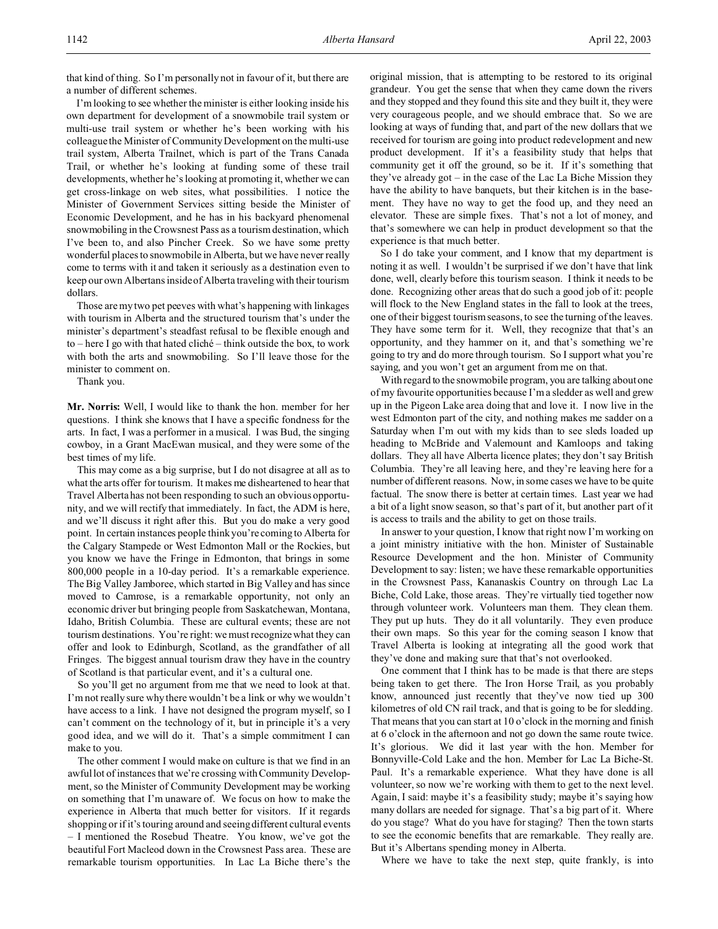that kind of thing. So I'm personally not in favour of it, but there are a number of different schemes.

I'm looking to see whether the minister is either looking inside his own department for development of a snowmobile trail system or multi-use trail system or whether he's been working with his colleague the Minister of Community Development on the multi-use trail system, Alberta Trailnet, which is part of the Trans Canada Trail, or whether he's looking at funding some of these trail developments, whether he's looking at promoting it, whether we can get cross-linkage on web sites, what possibilities. I notice the Minister of Government Services sitting beside the Minister of Economic Development, and he has in his backyard phenomenal snowmobiling in the Crowsnest Pass as a tourism destination, which I've been to, and also Pincher Creek. So we have some pretty wonderful places to snowmobile in Alberta, but we have never really come to terms with it and taken it seriously as a destination even to keep our own Albertans inside of Alberta traveling with their tourism dollars.

Those are my two pet peeves with what's happening with linkages with tourism in Alberta and the structured tourism that's under the minister's department's steadfast refusal to be flexible enough and to – here I go with that hated cliché – think outside the box, to work with both the arts and snowmobiling. So I'll leave those for the minister to comment on.

Thank you.

**Mr. Norris:** Well, I would like to thank the hon. member for her questions. I think she knows that I have a specific fondness for the arts. In fact, I was a performer in a musical. I was Bud, the singing cowboy, in a Grant MacEwan musical, and they were some of the best times of my life.

This may come as a big surprise, but I do not disagree at all as to what the arts offer for tourism. It makes me disheartened to hear that Travel Alberta has not been responding to such an obvious opportunity, and we will rectify that immediately. In fact, the ADM is here, and we'll discuss it right after this. But you do make a very good point. In certain instances people think you're coming to Alberta for the Calgary Stampede or West Edmonton Mall or the Rockies, but you know we have the Fringe in Edmonton, that brings in some 800,000 people in a 10-day period. It's a remarkable experience. The Big Valley Jamboree, which started in Big Valley and has since moved to Camrose, is a remarkable opportunity, not only an economic driver but bringing people from Saskatchewan, Montana, Idaho, British Columbia. These are cultural events; these are not tourism destinations. You're right: we must recognize what they can offer and look to Edinburgh, Scotland, as the grandfather of all Fringes. The biggest annual tourism draw they have in the country of Scotland is that particular event, and it's a cultural one.

So you'll get no argument from me that we need to look at that. I'm not really sure why there wouldn't be a link or why we wouldn't have access to a link. I have not designed the program myself, so I can't comment on the technology of it, but in principle it's a very good idea, and we will do it. That's a simple commitment I can make to you.

The other comment I would make on culture is that we find in an awful lot of instances that we're crossing with Community Development, so the Minister of Community Development may be working on something that I'm unaware of. We focus on how to make the experience in Alberta that much better for visitors. If it regards shopping or if it's touring around and seeing different cultural events – I mentioned the Rosebud Theatre. You know, we've got the beautiful Fort Macleod down in the Crowsnest Pass area. These are remarkable tourism opportunities. In Lac La Biche there's the original mission, that is attempting to be restored to its original grandeur. You get the sense that when they came down the rivers and they stopped and they found this site and they built it, they were very courageous people, and we should embrace that. So we are looking at ways of funding that, and part of the new dollars that we received for tourism are going into product redevelopment and new product development. If it's a feasibility study that helps that community get it off the ground, so be it. If it's something that they've already got – in the case of the Lac La Biche Mission they have the ability to have banquets, but their kitchen is in the basement. They have no way to get the food up, and they need an elevator. These are simple fixes. That's not a lot of money, and that's somewhere we can help in product development so that the experience is that much better.

So I do take your comment, and I know that my department is noting it as well. I wouldn't be surprised if we don't have that link done, well, clearly before this tourism season. I think it needs to be done. Recognizing other areas that do such a good job of it: people will flock to the New England states in the fall to look at the trees, one of their biggest tourism seasons, to see the turning of the leaves. They have some term for it. Well, they recognize that that's an opportunity, and they hammer on it, and that's something we're going to try and do more through tourism. So I support what you're saying, and you won't get an argument from me on that.

With regard to the snowmobile program, you are talking about one of my favourite opportunities because I'm a sledder as well and grew up in the Pigeon Lake area doing that and love it. I now live in the west Edmonton part of the city, and nothing makes me sadder on a Saturday when I'm out with my kids than to see sleds loaded up heading to McBride and Valemount and Kamloops and taking dollars. They all have Alberta licence plates; they don't say British Columbia. They're all leaving here, and they're leaving here for a number of different reasons. Now, in some cases we have to be quite factual. The snow there is better at certain times. Last year we had a bit of a light snow season, so that's part of it, but another part of it is access to trails and the ability to get on those trails.

In answer to your question, I know that right now I'm working on a joint ministry initiative with the hon. Minister of Sustainable Resource Development and the hon. Minister of Community Development to say: listen; we have these remarkable opportunities in the Crowsnest Pass, Kananaskis Country on through Lac La Biche, Cold Lake, those areas. They're virtually tied together now through volunteer work. Volunteers man them. They clean them. They put up huts. They do it all voluntarily. They even produce their own maps. So this year for the coming season I know that Travel Alberta is looking at integrating all the good work that they've done and making sure that that's not overlooked.

One comment that I think has to be made is that there are steps being taken to get there. The Iron Horse Trail, as you probably know, announced just recently that they've now tied up 300 kilometres of old CN rail track, and that is going to be for sledding. That means that you can start at 10 o'clock in the morning and finish at 6 o'clock in the afternoon and not go down the same route twice. It's glorious. We did it last year with the hon. Member for Bonnyville-Cold Lake and the hon. Member for Lac La Biche-St. Paul. It's a remarkable experience. What they have done is all volunteer, so now we're working with them to get to the next level. Again, I said: maybe it's a feasibility study; maybe it's saying how many dollars are needed for signage. That's a big part of it. Where do you stage? What do you have for staging? Then the town starts to see the economic benefits that are remarkable. They really are. But it's Albertans spending money in Alberta.

Where we have to take the next step, quite frankly, is into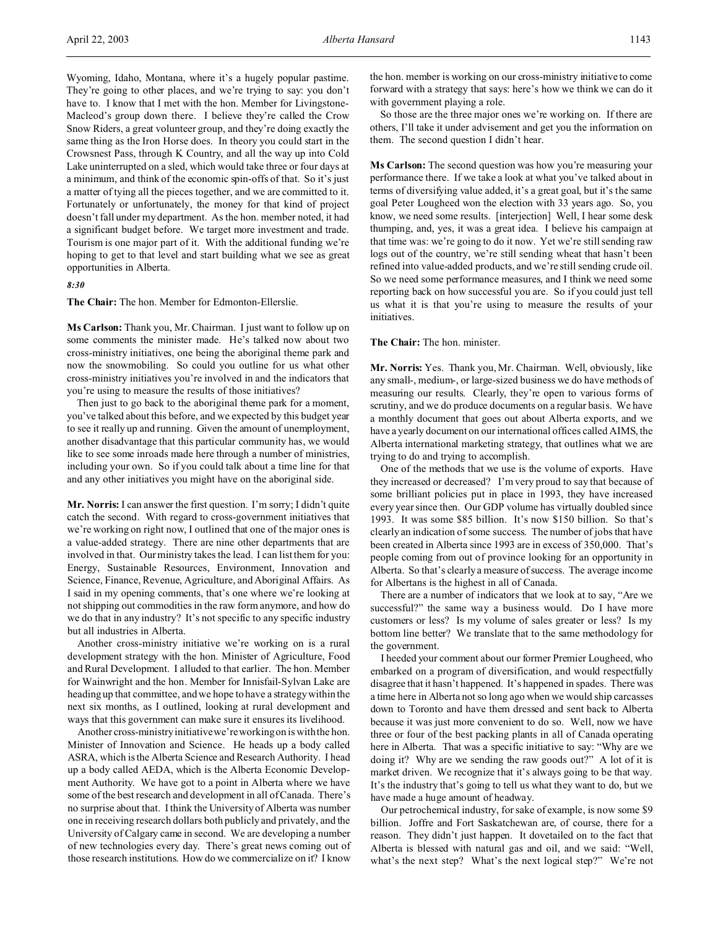Wyoming, Idaho, Montana, where it's a hugely popular pastime. They're going to other places, and we're trying to say: you don't have to. I know that I met with the hon. Member for Livingstone-Macleod's group down there. I believe they're called the Crow Snow Riders, a great volunteer group, and they're doing exactly the same thing as the Iron Horse does. In theory you could start in the Crowsnest Pass, through K Country, and all the way up into Cold Lake uninterrupted on a sled, which would take three or four days at a minimum, and think of the economic spin-offs of that. So it's just a matter of tying all the pieces together, and we are committed to it. Fortunately or unfortunately, the money for that kind of project doesn't fall under my department. As the hon. member noted, it had a significant budget before. We target more investment and trade. Tourism is one major part of it. With the additional funding we're hoping to get to that level and start building what we see as great opportunities in Alberta.

## *8:30*

**The Chair:** The hon. Member for Edmonton-Ellerslie.

**Ms Carlson:** Thank you, Mr. Chairman. I just want to follow up on some comments the minister made. He's talked now about two cross-ministry initiatives, one being the aboriginal theme park and now the snowmobiling. So could you outline for us what other cross-ministry initiatives you're involved in and the indicators that you're using to measure the results of those initiatives?

Then just to go back to the aboriginal theme park for a moment, you've talked about this before, and we expected by this budget year to see it really up and running. Given the amount of unemployment, another disadvantage that this particular community has, we would like to see some inroads made here through a number of ministries, including your own. So if you could talk about a time line for that and any other initiatives you might have on the aboriginal side.

**Mr. Norris:** I can answer the first question. I'm sorry; I didn't quite catch the second. With regard to cross-government initiatives that we're working on right now, I outlined that one of the major ones is a value-added strategy. There are nine other departments that are involved in that. Our ministry takes the lead. I can list them for you: Energy, Sustainable Resources, Environment, Innovation and Science, Finance, Revenue, Agriculture, and Aboriginal Affairs. As I said in my opening comments, that's one where we're looking at not shipping out commodities in the raw form anymore, and how do we do that in any industry? It's not specific to any specific industry but all industries in Alberta.

Another cross-ministry initiative we're working on is a rural development strategy with the hon. Minister of Agriculture, Food and Rural Development. I alluded to that earlier. The hon. Member for Wainwright and the hon. Member for Innisfail-Sylvan Lake are heading up that committee, and we hope to have a strategy within the next six months, as I outlined, looking at rural development and ways that this government can make sure it ensures its livelihood.

Another cross-ministry initiative we're working on is with the hon. Minister of Innovation and Science. He heads up a body called ASRA, which is the Alberta Science and Research Authority. I head up a body called AEDA, which is the Alberta Economic Development Authority. We have got to a point in Alberta where we have some of the best research and development in all of Canada. There's no surprise about that. I think the University of Alberta was number one in receiving research dollars both publicly and privately, and the University of Calgary came in second. We are developing a number of new technologies every day. There's great news coming out of those research institutions. How do we commercialize on it? I know

the hon. member is working on our cross-ministry initiative to come forward with a strategy that says: here's how we think we can do it with government playing a role.

So those are the three major ones we're working on. If there are others, I'll take it under advisement and get you the information on them. The second question I didn't hear.

**Ms Carlson:** The second question was how you're measuring your performance there. If we take a look at what you've talked about in terms of diversifying value added, it's a great goal, but it's the same goal Peter Lougheed won the election with 33 years ago. So, you know, we need some results. [interjection] Well, I hear some desk thumping, and, yes, it was a great idea. I believe his campaign at that time was: we're going to do it now. Yet we're still sending raw logs out of the country, we're still sending wheat that hasn't been refined into value-added products, and we're still sending crude oil. So we need some performance measures, and I think we need some reporting back on how successful you are. So if you could just tell us what it is that you're using to measure the results of your initiatives.

## **The Chair:** The hon. minister.

**Mr. Norris:** Yes. Thank you, Mr. Chairman. Well, obviously, like any small-, medium-, or large-sized business we do have methods of measuring our results. Clearly, they're open to various forms of scrutiny, and we do produce documents on a regular basis. We have a monthly document that goes out about Alberta exports, and we have a yearly document on our international offices called AIMS, the Alberta international marketing strategy, that outlines what we are trying to do and trying to accomplish.

One of the methods that we use is the volume of exports. Have they increased or decreased? I'm very proud to say that because of some brilliant policies put in place in 1993, they have increased every year since then. Our GDP volume has virtually doubled since 1993. It was some \$85 billion. It's now \$150 billion. So that's clearly an indication of some success. The number of jobs that have been created in Alberta since 1993 are in excess of 350,000. That's people coming from out of province looking for an opportunity in Alberta. So that's clearly a measure of success. The average income for Albertans is the highest in all of Canada.

There are a number of indicators that we look at to say, "Are we successful?" the same way a business would. Do I have more customers or less? Is my volume of sales greater or less? Is my bottom line better? We translate that to the same methodology for the government.

I heeded your comment about our former Premier Lougheed, who embarked on a program of diversification, and would respectfully disagree that it hasn't happened. It's happened in spades. There was a time here in Alberta not so long ago when we would ship carcasses down to Toronto and have them dressed and sent back to Alberta because it was just more convenient to do so. Well, now we have three or four of the best packing plants in all of Canada operating here in Alberta. That was a specific initiative to say: "Why are we doing it? Why are we sending the raw goods out?" A lot of it is market driven. We recognize that it's always going to be that way. It's the industry that's going to tell us what they want to do, but we have made a huge amount of headway.

Our petrochemical industry, for sake of example, is now some \$9 billion. Joffre and Fort Saskatchewan are, of course, there for a reason. They didn't just happen. It dovetailed on to the fact that Alberta is blessed with natural gas and oil, and we said: "Well, what's the next step? What's the next logical step?" We're not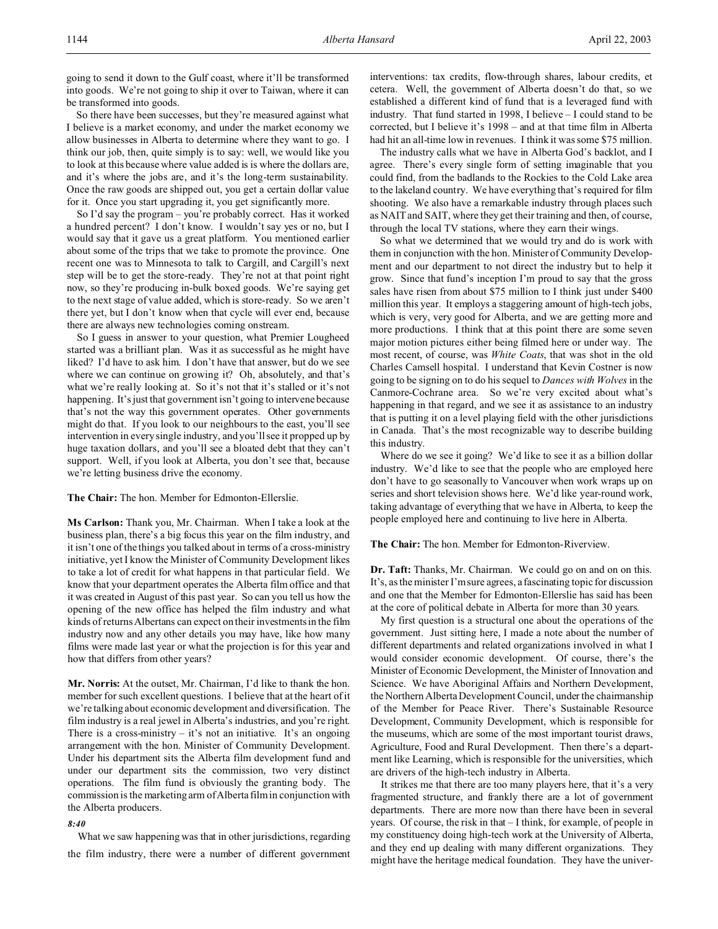So there have been successes, but they're measured against what I believe is a market economy, and under the market economy we allow businesses in Alberta to determine where they want to go. I think our job, then, quite simply is to say: well, we would like you to look at this because where value added is is where the dollars are, and it's where the jobs are, and it's the long-term sustainability. Once the raw goods are shipped out, you get a certain dollar value for it. Once you start upgrading it, you get significantly more.

So I'd say the program – you're probably correct. Has it worked a hundred percent? I don't know. I wouldn't say yes or no, but I would say that it gave us a great platform. You mentioned earlier about some of the trips that we take to promote the province. One recent one was to Minnesota to talk to Cargill, and Cargill's next step will be to get the store-ready. They're not at that point right now, so they're producing in-bulk boxed goods. We're saying get to the next stage of value added, which is store-ready. So we aren't there yet, but I don't know when that cycle will ever end, because there are always new technologies coming onstream.

So I guess in answer to your question, what Premier Lougheed started was a brilliant plan. Was it as successful as he might have liked? I'd have to ask him. I don't have that answer, but do we see where we can continue on growing it? Oh, absolutely, and that's what we're really looking at. So it's not that it's stalled or it's not happening. It's just that government isn't going to intervene because that's not the way this government operates. Other governments might do that. If you look to our neighbours to the east, you'll see intervention in every single industry, and you'll see it propped up by huge taxation dollars, and you'll see a bloated debt that they can't support. Well, if you look at Alberta, you don't see that, because we're letting business drive the economy.

## **The Chair:** The hon. Member for Edmonton-Ellerslie.

**Ms Carlson:** Thank you, Mr. Chairman. When I take a look at the business plan, there's a big focus this year on the film industry, and it isn't one of the things you talked about in terms of a cross-ministry initiative, yet I know the Minister of Community Development likes to take a lot of credit for what happens in that particular field. We know that your department operates the Alberta film office and that it was created in August of this past year. So can you tell us how the opening of the new office has helped the film industry and what kinds of returns Albertans can expect on their investments in the film industry now and any other details you may have, like how many films were made last year or what the projection is for this year and how that differs from other years?

**Mr. Norris:** At the outset, Mr. Chairman, I'd like to thank the hon. member for such excellent questions. I believe that at the heart of it we're talking about economic development and diversification. The film industry is a real jewel in Alberta's industries, and you're right. There is a cross-ministry  $-$  it's not an initiative. It's an ongoing arrangement with the hon. Minister of Community Development. Under his department sits the Alberta film development fund and under our department sits the commission, two very distinct operations. The film fund is obviously the granting body. The commission is the marketing arm of Alberta film in conjunction with the Alberta producers.

## *8:40*

What we saw happening was that in other jurisdictions, regarding the film industry, there were a number of different government interventions: tax credits, flow-through shares, labour credits, et cetera. Well, the government of Alberta doesn't do that, so we established a different kind of fund that is a leveraged fund with industry. That fund started in 1998, I believe – I could stand to be corrected, but I believe it's 1998 – and at that time film in Alberta had hit an all-time low in revenues. I think it was some \$75 million.

The industry calls what we have in Alberta God's backlot, and I agree. There's every single form of setting imaginable that you could find, from the badlands to the Rockies to the Cold Lake area to the lakeland country. We have everything that's required for film shooting. We also have a remarkable industry through places such as NAIT and SAIT, where they get their training and then, of course, through the local TV stations, where they earn their wings.

So what we determined that we would try and do is work with them in conjunction with the hon. Minister of Community Development and our department to not direct the industry but to help it grow. Since that fund's inception I'm proud to say that the gross sales have risen from about \$75 million to I think just under \$400 million this year. It employs a staggering amount of high-tech jobs, which is very, very good for Alberta, and we are getting more and more productions. I think that at this point there are some seven major motion pictures either being filmed here or under way. The most recent, of course, was *White Coats*, that was shot in the old Charles Camsell hospital. I understand that Kevin Costner is now going to be signing on to do his sequel to *Dances with Wolves* in the Canmore-Cochrane area. So we're very excited about what's happening in that regard, and we see it as assistance to an industry that is putting it on a level playing field with the other jurisdictions in Canada. That's the most recognizable way to describe building this industry.

Where do we see it going? We'd like to see it as a billion dollar industry. We'd like to see that the people who are employed here don't have to go seasonally to Vancouver when work wraps up on series and short television shows here. We'd like year-round work, taking advantage of everything that we have in Alberta, to keep the people employed here and continuing to live here in Alberta.

## **The Chair:** The hon. Member for Edmonton-Riverview.

**Dr. Taft:** Thanks, Mr. Chairman. We could go on and on on this. It's, as the minister I'm sure agrees, a fascinating topic for discussion and one that the Member for Edmonton-Ellerslie has said has been at the core of political debate in Alberta for more than 30 years.

My first question is a structural one about the operations of the government. Just sitting here, I made a note about the number of different departments and related organizations involved in what I would consider economic development. Of course, there's the Minister of Economic Development, the Minister of Innovation and Science. We have Aboriginal Affairs and Northern Development, the Northern Alberta Development Council, under the chairmanship of the Member for Peace River. There's Sustainable Resource Development, Community Development, which is responsible for the museums, which are some of the most important tourist draws, Agriculture, Food and Rural Development. Then there's a department like Learning, which is responsible for the universities, which are drivers of the high-tech industry in Alberta.

It strikes me that there are too many players here, that it's a very fragmented structure, and frankly there are a lot of government departments. There are more now than there have been in several years. Of course, the risk in that – I think, for example, of people in my constituency doing high-tech work at the University of Alberta, and they end up dealing with many different organizations. They might have the heritage medical foundation. They have the univer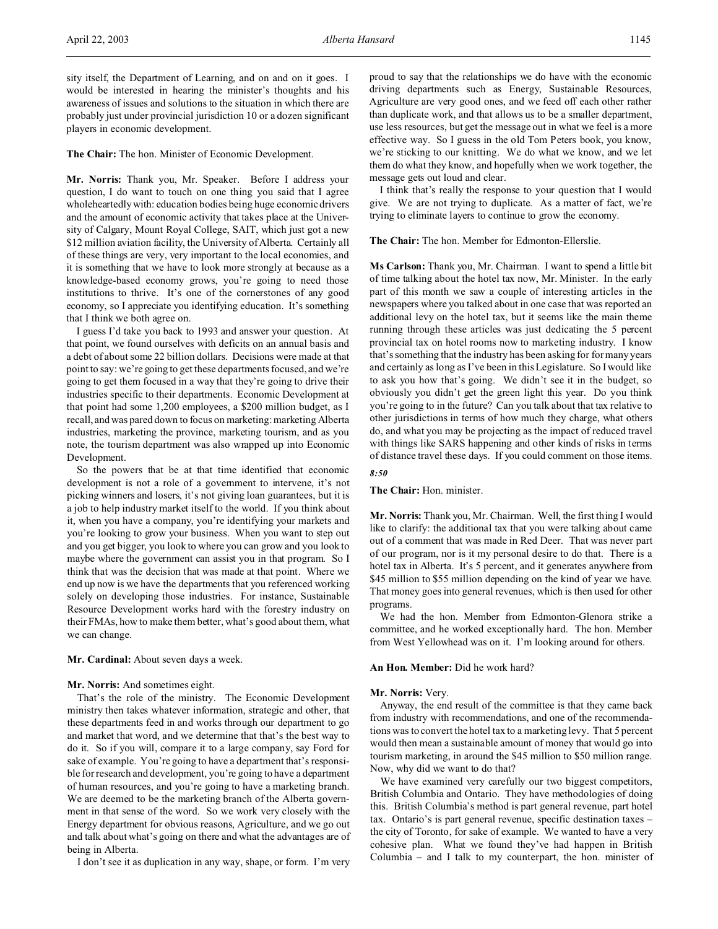**The Chair:** The hon. Minister of Economic Development.

players in economic development.

**Mr. Norris:** Thank you, Mr. Speaker. Before I address your question, I do want to touch on one thing you said that I agree wholeheartedly with: education bodies being huge economic drivers and the amount of economic activity that takes place at the University of Calgary, Mount Royal College, SAIT, which just got a new \$12 million aviation facility, the University of Alberta. Certainly all of these things are very, very important to the local economies, and it is something that we have to look more strongly at because as a knowledge-based economy grows, you're going to need those institutions to thrive. It's one of the cornerstones of any good economy, so I appreciate you identifying education. It's something that I think we both agree on.

I guess I'd take you back to 1993 and answer your question. At that point, we found ourselves with deficits on an annual basis and a debt of about some 22 billion dollars. Decisions were made at that point to say: we're going to get these departments focused, and we're going to get them focused in a way that they're going to drive their industries specific to their departments. Economic Development at that point had some 1,200 employees, a \$200 million budget, as I recall, and was pared down to focus on marketing: marketing Alberta industries, marketing the province, marketing tourism, and as you note, the tourism department was also wrapped up into Economic Development.

So the powers that be at that time identified that economic development is not a role of a government to intervene, it's not picking winners and losers, it's not giving loan guarantees, but it is a job to help industry market itself to the world. If you think about it, when you have a company, you're identifying your markets and you're looking to grow your business. When you want to step out and you get bigger, you look to where you can grow and you look to maybe where the government can assist you in that program. So I think that was the decision that was made at that point. Where we end up now is we have the departments that you referenced working solely on developing those industries. For instance, Sustainable Resource Development works hard with the forestry industry on their FMAs, how to make them better, what's good about them, what we can change.

**Mr. Cardinal:** About seven days a week.

#### **Mr. Norris:** And sometimes eight.

That's the role of the ministry. The Economic Development ministry then takes whatever information, strategic and other, that these departments feed in and works through our department to go and market that word, and we determine that that's the best way to do it. So if you will, compare it to a large company, say Ford for sake of example. You're going to have a department that's responsible for research and development, you're going to have a department of human resources, and you're going to have a marketing branch. We are deemed to be the marketing branch of the Alberta government in that sense of the word. So we work very closely with the Energy department for obvious reasons, Agriculture, and we go out and talk about what's going on there and what the advantages are of being in Alberta.

I don't see it as duplication in any way, shape, or form. I'm very

proud to say that the relationships we do have with the economic driving departments such as Energy, Sustainable Resources, Agriculture are very good ones, and we feed off each other rather than duplicate work, and that allows us to be a smaller department, use less resources, but get the message out in what we feel is a more effective way. So I guess in the old Tom Peters book, you know, we're sticking to our knitting. We do what we know, and we let them do what they know, and hopefully when we work together, the message gets out loud and clear.

I think that's really the response to your question that I would give. We are not trying to duplicate. As a matter of fact, we're trying to eliminate layers to continue to grow the economy.

**The Chair:** The hon. Member for Edmonton-Ellerslie.

**Ms Carlson:** Thank you, Mr. Chairman. I want to spend a little bit of time talking about the hotel tax now, Mr. Minister. In the early part of this month we saw a couple of interesting articles in the newspapers where you talked about in one case that was reported an additional levy on the hotel tax, but it seems like the main theme running through these articles was just dedicating the 5 percent provincial tax on hotel rooms now to marketing industry. I know that's something that the industry has been asking for for many years and certainly as long as I've been in this Legislature. So I would like to ask you how that's going. We didn't see it in the budget, so obviously you didn't get the green light this year. Do you think you're going to in the future? Can you talk about that tax relative to other jurisdictions in terms of how much they charge, what others do, and what you may be projecting as the impact of reduced travel with things like SARS happening and other kinds of risks in terms of distance travel these days. If you could comment on those items.

#### *8:50*

**The Chair:** Hon. minister.

**Mr. Norris:** Thank you, Mr. Chairman. Well, the first thing I would like to clarify: the additional tax that you were talking about came out of a comment that was made in Red Deer. That was never part of our program, nor is it my personal desire to do that. There is a hotel tax in Alberta. It's 5 percent, and it generates anywhere from \$45 million to \$55 million depending on the kind of year we have. That money goes into general revenues, which is then used for other programs.

We had the hon. Member from Edmonton-Glenora strike a committee, and he worked exceptionally hard. The hon. Member from West Yellowhead was on it. I'm looking around for others.

#### **An Hon. Member:** Did he work hard?

#### **Mr. Norris:** Very.

Anyway, the end result of the committee is that they came back from industry with recommendations, and one of the recommendations was to convert the hotel tax to a marketing levy. That 5 percent would then mean a sustainable amount of money that would go into tourism marketing, in around the \$45 million to \$50 million range. Now, why did we want to do that?

We have examined very carefully our two biggest competitors, British Columbia and Ontario. They have methodologies of doing this. British Columbia's method is part general revenue, part hotel tax. Ontario's is part general revenue, specific destination taxes – the city of Toronto, for sake of example. We wanted to have a very cohesive plan. What we found they've had happen in British Columbia – and I talk to my counterpart, the hon. minister of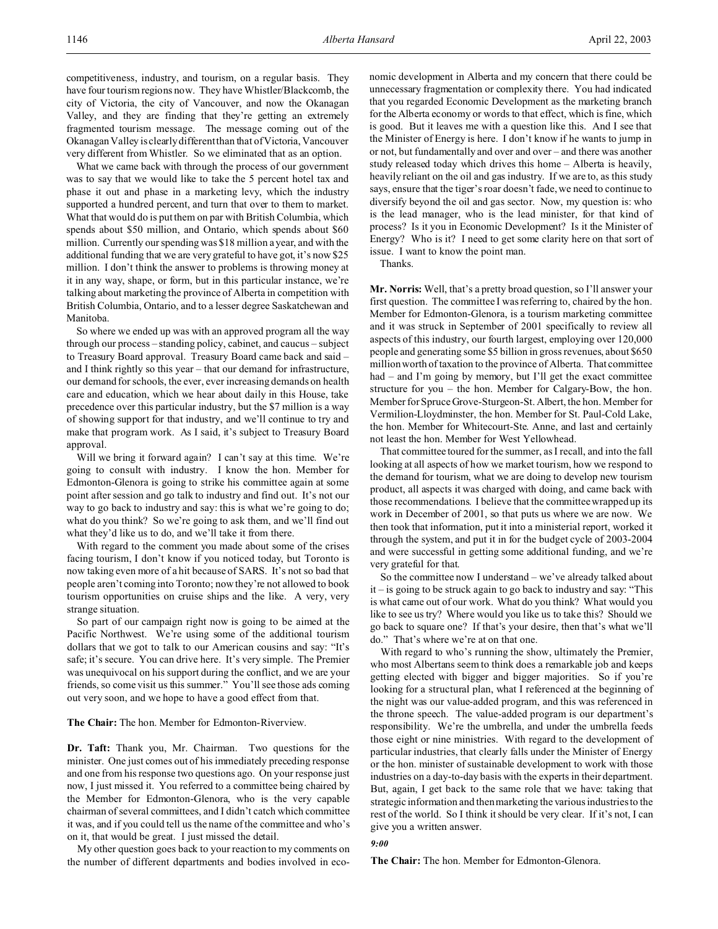What we came back with through the process of our government was to say that we would like to take the 5 percent hotel tax and phase it out and phase in a marketing levy, which the industry supported a hundred percent, and turn that over to them to market. What that would do is put them on par with British Columbia, which spends about \$50 million, and Ontario, which spends about \$60 million. Currently our spending was \$18 million a year, and with the additional funding that we are very grateful to have got, it's now \$25 million. I don't think the answer to problems is throwing money at it in any way, shape, or form, but in this particular instance, we're talking about marketing the province of Alberta in competition with British Columbia, Ontario, and to a lesser degree Saskatchewan and Manitoba.

So where we ended up was with an approved program all the way through our process – standing policy, cabinet, and caucus – subject to Treasury Board approval. Treasury Board came back and said – and I think rightly so this year – that our demand for infrastructure, our demand for schools, the ever, ever increasing demands on health care and education, which we hear about daily in this House, take precedence over this particular industry, but the \$7 million is a way of showing support for that industry, and we'll continue to try and make that program work. As I said, it's subject to Treasury Board approval.

Will we bring it forward again? I can't say at this time. We're going to consult with industry. I know the hon. Member for Edmonton-Glenora is going to strike his committee again at some point after session and go talk to industry and find out. It's not our way to go back to industry and say: this is what we're going to do; what do you think? So we're going to ask them, and we'll find out what they'd like us to do, and we'll take it from there.

With regard to the comment you made about some of the crises facing tourism, I don't know if you noticed today, but Toronto is now taking even more of a hit because of SARS. It's not so bad that people aren't coming into Toronto; now they're not allowed to book tourism opportunities on cruise ships and the like. A very, very strange situation.

So part of our campaign right now is going to be aimed at the Pacific Northwest. We're using some of the additional tourism dollars that we got to talk to our American cousins and say: "It's safe; it's secure. You can drive here. It's very simple. The Premier was unequivocal on his support during the conflict, and we are your friends, so come visit us this summer." You'll see those ads coming out very soon, and we hope to have a good effect from that.

**The Chair:** The hon. Member for Edmonton-Riverview.

**Dr. Taft:** Thank you, Mr. Chairman. Two questions for the minister. One just comes out of his immediately preceding response and one from his response two questions ago. On your response just now, I just missed it. You referred to a committee being chaired by the Member for Edmonton-Glenora, who is the very capable chairman of several committees, and I didn't catch which committee it was, and if you could tell us the name of the committee and who's on it, that would be great. I just missed the detail.

My other question goes back to your reaction to my comments on the number of different departments and bodies involved in economic development in Alberta and my concern that there could be unnecessary fragmentation or complexity there. You had indicated that you regarded Economic Development as the marketing branch for the Alberta economy or words to that effect, which is fine, which is good. But it leaves me with a question like this. And I see that the Minister of Energy is here. I don't know if he wants to jump in or not, but fundamentally and over and over – and there was another study released today which drives this home – Alberta is heavily, heavily reliant on the oil and gas industry. If we are to, as this study says, ensure that the tiger's roar doesn't fade, we need to continue to diversify beyond the oil and gas sector. Now, my question is: who is the lead manager, who is the lead minister, for that kind of process? Is it you in Economic Development? Is it the Minister of Energy? Who is it? I need to get some clarity here on that sort of issue. I want to know the point man.

Thanks.

**Mr. Norris:** Well, that's a pretty broad question, so I'll answer your first question. The committee I was referring to, chaired by the hon. Member for Edmonton-Glenora, is a tourism marketing committee and it was struck in September of 2001 specifically to review all aspects of this industry, our fourth largest, employing over 120,000 people and generating some \$5 billion in gross revenues, about \$650 million worth of taxation to the province of Alberta. That committee had – and I'm going by memory, but I'll get the exact committee structure for you – the hon. Member for Calgary-Bow, the hon. Member for Spruce Grove-Sturgeon-St. Albert, the hon. Member for Vermilion-Lloydminster, the hon. Member for St. Paul-Cold Lake, the hon. Member for Whitecourt-Ste. Anne, and last and certainly not least the hon. Member for West Yellowhead.

That committee toured for the summer, as I recall, and into the fall looking at all aspects of how we market tourism, how we respond to the demand for tourism, what we are doing to develop new tourism product, all aspects it was charged with doing, and came back with those recommendations. I believe that the committee wrapped up its work in December of 2001, so that puts us where we are now. We then took that information, put it into a ministerial report, worked it through the system, and put it in for the budget cycle of 2003-2004 and were successful in getting some additional funding, and we're very grateful for that.

So the committee now I understand – we've already talked about it – is going to be struck again to go back to industry and say: "This is what came out of our work. What do you think? What would you like to see us try? Where would you like us to take this? Should we go back to square one? If that's your desire, then that's what we'll do." That's where we're at on that one.

With regard to who's running the show, ultimately the Premier, who most Albertans seem to think does a remarkable job and keeps getting elected with bigger and bigger majorities. So if you're looking for a structural plan, what I referenced at the beginning of the night was our value-added program, and this was referenced in the throne speech. The value-added program is our department's responsibility. We're the umbrella, and under the umbrella feeds those eight or nine ministries. With regard to the development of particular industries, that clearly falls under the Minister of Energy or the hon. minister of sustainable development to work with those industries on a day-to-day basis with the experts in their department. But, again, I get back to the same role that we have: taking that strategic information and then marketing the various industries to the rest of the world. So I think it should be very clear. If it's not, I can give you a written answer.

*9:00*

**The Chair:** The hon. Member for Edmonton-Glenora.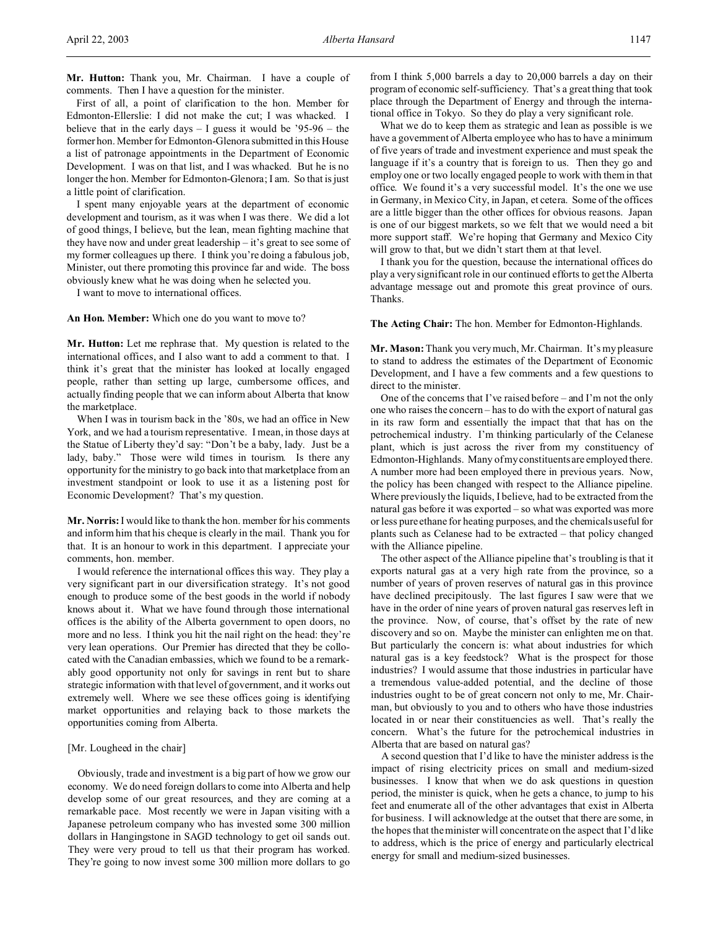**Mr. Hutton:** Thank you, Mr. Chairman. I have a couple of comments. Then I have a question for the minister.

First of all, a point of clarification to the hon. Member for Edmonton-Ellerslie: I did not make the cut; I was whacked. I believe that in the early days – I guess it would be '95-96 – the former hon. Member for Edmonton-Glenora submitted in this House a list of patronage appointments in the Department of Economic Development. I was on that list, and I was whacked. But he is no longer the hon. Member for Edmonton-Glenora; I am. So that is just a little point of clarification.

I spent many enjoyable years at the department of economic development and tourism, as it was when I was there. We did a lot of good things, I believe, but the lean, mean fighting machine that they have now and under great leadership – it's great to see some of my former colleagues up there. I think you're doing a fabulous job, Minister, out there promoting this province far and wide. The boss obviously knew what he was doing when he selected you.

I want to move to international offices.

**An Hon. Member:** Which one do you want to move to?

**Mr. Hutton:** Let me rephrase that. My question is related to the international offices, and I also want to add a comment to that. I think it's great that the minister has looked at locally engaged people, rather than setting up large, cumbersome offices, and actually finding people that we can inform about Alberta that know the marketplace.

When I was in tourism back in the '80s, we had an office in New York, and we had a tourism representative. I mean, in those days at the Statue of Liberty they'd say: "Don't be a baby, lady. Just be a lady, baby." Those were wild times in tourism. Is there any opportunity for the ministry to go back into that marketplace from an investment standpoint or look to use it as a listening post for Economic Development? That's my question.

**Mr. Norris:**I would like to thank the hon. member for his comments and inform him that his cheque is clearly in the mail. Thank you for that. It is an honour to work in this department. I appreciate your comments, hon. member.

I would reference the international offices this way. They play a very significant part in our diversification strategy. It's not good enough to produce some of the best goods in the world if nobody knows about it. What we have found through those international offices is the ability of the Alberta government to open doors, no more and no less. I think you hit the nail right on the head: they're very lean operations. Our Premier has directed that they be collocated with the Canadian embassies, which we found to be a remarkably good opportunity not only for savings in rent but to share strategic information with that level of government, and it works out extremely well. Where we see these offices going is identifying market opportunities and relaying back to those markets the opportunities coming from Alberta.

## [Mr. Lougheed in the chair]

Obviously, trade and investment is a big part of how we grow our economy. We do need foreign dollars to come into Alberta and help develop some of our great resources, and they are coming at a remarkable pace. Most recently we were in Japan visiting with a Japanese petroleum company who has invested some 300 million dollars in Hangingstone in SAGD technology to get oil sands out. They were very proud to tell us that their program has worked. They're going to now invest some 300 million more dollars to go

from I think 5,000 barrels a day to 20,000 barrels a day on their program of economic self-sufficiency. That's a great thing that took place through the Department of Energy and through the international office in Tokyo. So they do play a very significant role.

What we do to keep them as strategic and lean as possible is we have a government of Alberta employee who has to have a minimum of five years of trade and investment experience and must speak the language if it's a country that is foreign to us. Then they go and employ one or two locally engaged people to work with them in that office. We found it's a very successful model. It's the one we use in Germany, in Mexico City, in Japan, et cetera. Some of the offices are a little bigger than the other offices for obvious reasons. Japan is one of our biggest markets, so we felt that we would need a bit more support staff. We're hoping that Germany and Mexico City will grow to that, but we didn't start them at that level.

I thank you for the question, because the international offices do play a very significant role in our continued efforts to get the Alberta advantage message out and promote this great province of ours. Thanks.

**The Acting Chair:** The hon. Member for Edmonton-Highlands.

**Mr. Mason:** Thank you very much, Mr. Chairman. It's my pleasure to stand to address the estimates of the Department of Economic Development, and I have a few comments and a few questions to direct to the minister.

One of the concerns that I've raised before – and I'm not the only one who raises the concern – has to do with the export of natural gas in its raw form and essentially the impact that that has on the petrochemical industry. I'm thinking particularly of the Celanese plant, which is just across the river from my constituency of Edmonton-Highlands. Many of my constituents are employed there. A number more had been employed there in previous years. Now, the policy has been changed with respect to the Alliance pipeline. Where previously the liquids, I believe, had to be extracted from the natural gas before it was exported – so what was exported was more or less pure ethane for heating purposes, and the chemicals useful for plants such as Celanese had to be extracted – that policy changed with the Alliance pipeline.

The other aspect of the Alliance pipeline that's troubling is that it exports natural gas at a very high rate from the province, so a number of years of proven reserves of natural gas in this province have declined precipitously. The last figures I saw were that we have in the order of nine years of proven natural gas reserves left in the province. Now, of course, that's offset by the rate of new discovery and so on. Maybe the minister can enlighten me on that. But particularly the concern is: what about industries for which natural gas is a key feedstock? What is the prospect for those industries? I would assume that those industries in particular have a tremendous value-added potential, and the decline of those industries ought to be of great concern not only to me, Mr. Chairman, but obviously to you and to others who have those industries located in or near their constituencies as well. That's really the concern. What's the future for the petrochemical industries in Alberta that are based on natural gas?

A second question that I'd like to have the minister address is the impact of rising electricity prices on small and medium-sized businesses. I know that when we do ask questions in question period, the minister is quick, when he gets a chance, to jump to his feet and enumerate all of the other advantages that exist in Alberta for business. I will acknowledge at the outset that there are some, in the hopes that the minister will concentrate on the aspect that I'd like to address, which is the price of energy and particularly electrical energy for small and medium-sized businesses.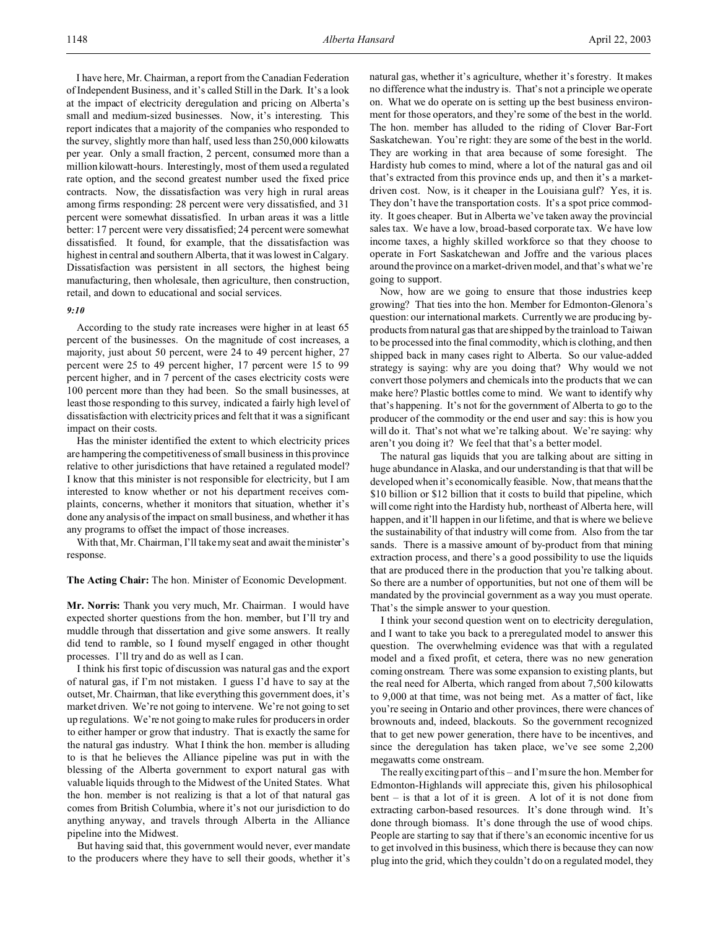I have here, Mr. Chairman, a report from the Canadian Federation of Independent Business, and it's called Still in the Dark. It's a look at the impact of electricity deregulation and pricing on Alberta's small and medium-sized businesses. Now, it's interesting. This report indicates that a majority of the companies who responded to the survey, slightly more than half, used less than 250,000 kilowatts per year. Only a small fraction, 2 percent, consumed more than a million kilowatt-hours. Interestingly, most of them used a regulated rate option, and the second greatest number used the fixed price contracts. Now, the dissatisfaction was very high in rural areas among firms responding: 28 percent were very dissatisfied, and 31 percent were somewhat dissatisfied. In urban areas it was a little better: 17 percent were very dissatisfied; 24 percent were somewhat dissatisfied. It found, for example, that the dissatisfaction was highest in central and southern Alberta, that it was lowest in Calgary. Dissatisfaction was persistent in all sectors, the highest being manufacturing, then wholesale, then agriculture, then construction, retail, and down to educational and social services.

## *9:10*

According to the study rate increases were higher in at least 65 percent of the businesses. On the magnitude of cost increases, a majority, just about 50 percent, were 24 to 49 percent higher, 27 percent were 25 to 49 percent higher, 17 percent were 15 to 99 percent higher, and in 7 percent of the cases electricity costs were 100 percent more than they had been. So the small businesses, at least those responding to this survey, indicated a fairly high level of dissatisfaction with electricity prices and felt that it was a significant impact on their costs.

Has the minister identified the extent to which electricity prices are hampering the competitiveness of small business in this province relative to other jurisdictions that have retained a regulated model? I know that this minister is not responsible for electricity, but I am interested to know whether or not his department receives complaints, concerns, whether it monitors that situation, whether it's done any analysis of the impact on small business, and whether it has any programs to offset the impact of those increases.

With that, Mr. Chairman, I'll take my seat and await the minister's response.

**The Acting Chair:** The hon. Minister of Economic Development.

**Mr. Norris:** Thank you very much, Mr. Chairman. I would have expected shorter questions from the hon. member, but I'll try and muddle through that dissertation and give some answers. It really did tend to ramble, so I found myself engaged in other thought processes. I'll try and do as well as I can.

I think his first topic of discussion was natural gas and the export of natural gas, if I'm not mistaken. I guess I'd have to say at the outset, Mr. Chairman, that like everything this government does, it's market driven. We're not going to intervene. We're not going to set up regulations. We're not going to make rules for producers in order to either hamper or grow that industry. That is exactly the same for the natural gas industry. What I think the hon. member is alluding to is that he believes the Alliance pipeline was put in with the blessing of the Alberta government to export natural gas with valuable liquids through to the Midwest of the United States. What the hon. member is not realizing is that a lot of that natural gas comes from British Columbia, where it's not our jurisdiction to do anything anyway, and travels through Alberta in the Alliance pipeline into the Midwest.

But having said that, this government would never, ever mandate to the producers where they have to sell their goods, whether it's natural gas, whether it's agriculture, whether it's forestry. It makes no difference what the industry is. That's not a principle we operate on. What we do operate on is setting up the best business environment for those operators, and they're some of the best in the world. The hon. member has alluded to the riding of Clover Bar-Fort Saskatchewan. You're right: they are some of the best in the world. They are working in that area because of some foresight. The Hardisty hub comes to mind, where a lot of the natural gas and oil that's extracted from this province ends up, and then it's a marketdriven cost. Now, is it cheaper in the Louisiana gulf? Yes, it is. They don't have the transportation costs. It's a spot price commodity. It goes cheaper. But in Alberta we've taken away the provincial sales tax. We have a low, broad-based corporate tax. We have low income taxes, a highly skilled workforce so that they choose to operate in Fort Saskatchewan and Joffre and the various places around the province on a market-driven model, and that's what we're going to support.

Now, how are we going to ensure that those industries keep growing? That ties into the hon. Member for Edmonton-Glenora's question: our international markets. Currently we are producing byproducts from natural gas that are shipped by the trainload to Taiwan to be processed into the final commodity, which is clothing, and then shipped back in many cases right to Alberta. So our value-added strategy is saying: why are you doing that? Why would we not convert those polymers and chemicals into the products that we can make here? Plastic bottles come to mind. We want to identify why that's happening. It's not for the government of Alberta to go to the producer of the commodity or the end user and say: this is how you will do it. That's not what we're talking about. We're saying: why aren't you doing it? We feel that that's a better model.

The natural gas liquids that you are talking about are sitting in huge abundance in Alaska, and our understanding is that that will be developed when it's economically feasible. Now, that means that the \$10 billion or \$12 billion that it costs to build that pipeline, which will come right into the Hardisty hub, northeast of Alberta here, will happen, and it'll happen in our lifetime, and that is where we believe the sustainability of that industry will come from. Also from the tar sands. There is a massive amount of by-product from that mining extraction process, and there's a good possibility to use the liquids that are produced there in the production that you're talking about. So there are a number of opportunities, but not one of them will be mandated by the provincial government as a way you must operate. That's the simple answer to your question.

I think your second question went on to electricity deregulation, and I want to take you back to a preregulated model to answer this question. The overwhelming evidence was that with a regulated model and a fixed profit, et cetera, there was no new generation coming onstream. There was some expansion to existing plants, but the real need for Alberta, which ranged from about 7,500 kilowatts to 9,000 at that time, was not being met. As a matter of fact, like you're seeing in Ontario and other provinces, there were chances of brownouts and, indeed, blackouts. So the government recognized that to get new power generation, there have to be incentives, and since the deregulation has taken place, we've see some 2,200 megawatts come onstream.

The really exciting part of this – and I'm sure the hon. Member for Edmonton-Highlands will appreciate this, given his philosophical bent – is that a lot of it is green. A lot of it is not done from extracting carbon-based resources. It's done through wind. It's done through biomass. It's done through the use of wood chips. People are starting to say that if there's an economic incentive for us to get involved in this business, which there is because they can now plug into the grid, which they couldn't do on a regulated model, they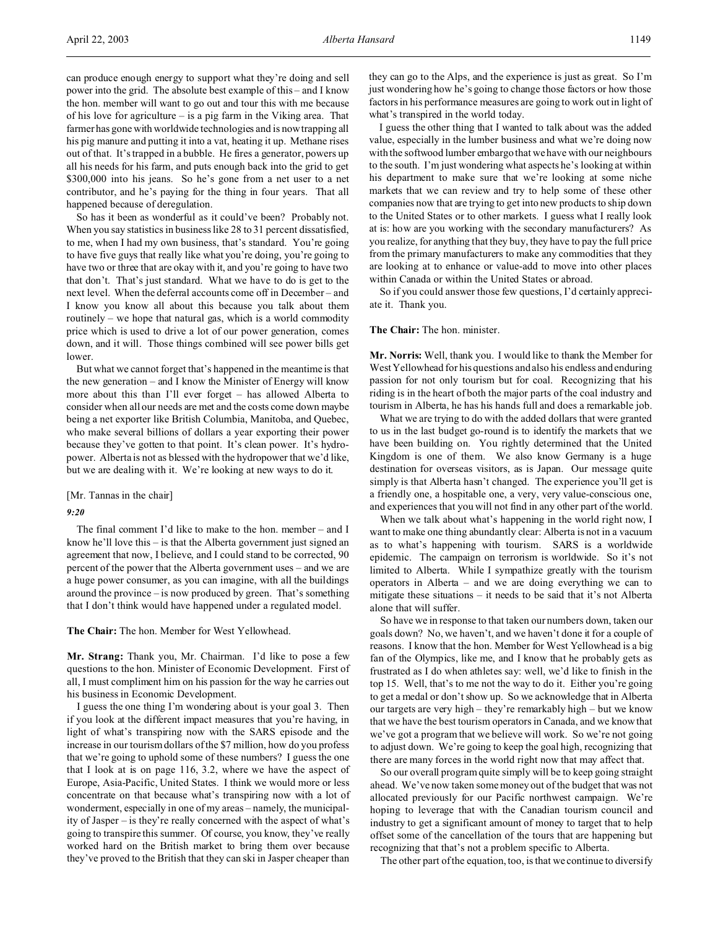can produce enough energy to support what they're doing and sell power into the grid. The absolute best example of this – and I know the hon. member will want to go out and tour this with me because of his love for agriculture – is a pig farm in the Viking area. That farmer has gone with worldwide technologies and is now trapping all his pig manure and putting it into a vat, heating it up. Methane rises out of that. It's trapped in a bubble. He fires a generator, powers up all his needs for his farm, and puts enough back into the grid to get \$300,000 into his jeans. So he's gone from a net user to a net contributor, and he's paying for the thing in four years. That all happened because of deregulation.

So has it been as wonderful as it could've been? Probably not. When you say statistics in business like 28 to 31 percent dissatisfied, to me, when I had my own business, that's standard. You're going to have five guys that really like what you're doing, you're going to have two or three that are okay with it, and you're going to have two that don't. That's just standard. What we have to do is get to the next level. When the deferral accounts come off in December – and I know you know all about this because you talk about them routinely – we hope that natural gas, which is a world commodity price which is used to drive a lot of our power generation, comes down, and it will. Those things combined will see power bills get lower.

But what we cannot forget that's happened in the meantime is that the new generation – and I know the Minister of Energy will know more about this than I'll ever forget – has allowed Alberta to consider when all our needs are met and the costs come down maybe being a net exporter like British Columbia, Manitoba, and Quebec, who make several billions of dollars a year exporting their power because they've gotten to that point. It's clean power. It's hydropower. Alberta is not as blessed with the hydropower that we'd like, but we are dealing with it. We're looking at new ways to do it.

[Mr. Tannas in the chair]

## *9:20*

The final comment I'd like to make to the hon. member – and I know he'll love this – is that the Alberta government just signed an agreement that now, I believe, and I could stand to be corrected, 90 percent of the power that the Alberta government uses – and we are a huge power consumer, as you can imagine, with all the buildings around the province – is now produced by green. That's something that I don't think would have happened under a regulated model.

**The Chair:** The hon. Member for West Yellowhead.

**Mr. Strang:** Thank you, Mr. Chairman. I'd like to pose a few questions to the hon. Minister of Economic Development. First of all, I must compliment him on his passion for the way he carries out his business in Economic Development.

I guess the one thing I'm wondering about is your goal 3. Then if you look at the different impact measures that you're having, in light of what's transpiring now with the SARS episode and the increase in our tourism dollars of the \$7 million, how do you profess that we're going to uphold some of these numbers? I guess the one that I look at is on page 116, 3.2, where we have the aspect of Europe, Asia-Pacific, United States. I think we would more or less concentrate on that because what's transpiring now with a lot of wonderment, especially in one of my areas – namely, the municipality of Jasper – is they're really concerned with the aspect of what's going to transpire this summer. Of course, you know, they've really worked hard on the British market to bring them over because they've proved to the British that they can ski in Jasper cheaper than

they can go to the Alps, and the experience is just as great. So I'm just wondering how he's going to change those factors or how those factors in his performance measures are going to work out in light of what's transpired in the world today.

I guess the other thing that I wanted to talk about was the added value, especially in the lumber business and what we're doing now with the softwood lumber embargo that we have with our neighbours to the south. I'm just wondering what aspects he's looking at within his department to make sure that we're looking at some niche markets that we can review and try to help some of these other companies now that are trying to get into new products to ship down to the United States or to other markets. I guess what I really look at is: how are you working with the secondary manufacturers? As you realize, for anything that they buy, they have to pay the full price from the primary manufacturers to make any commodities that they are looking at to enhance or value-add to move into other places within Canada or within the United States or abroad.

So if you could answer those few questions, I'd certainly appreciate it. Thank you.

## **The Chair:** The hon. minister.

**Mr. Norris:** Well, thank you. I would like to thank the Member for West Yellowhead for his questions and also his endless and enduring passion for not only tourism but for coal. Recognizing that his riding is in the heart of both the major parts of the coal industry and tourism in Alberta, he has his hands full and does a remarkable job.

What we are trying to do with the added dollars that were granted to us in the last budget go-round is to identify the markets that we have been building on. You rightly determined that the United Kingdom is one of them. We also know Germany is a huge destination for overseas visitors, as is Japan. Our message quite simply is that Alberta hasn't changed. The experience you'll get is a friendly one, a hospitable one, a very, very value-conscious one, and experiences that you will not find in any other part of the world.

When we talk about what's happening in the world right now, I want to make one thing abundantly clear: Alberta is not in a vacuum as to what's happening with tourism. SARS is a worldwide epidemic. The campaign on terrorism is worldwide. So it's not limited to Alberta. While I sympathize greatly with the tourism operators in Alberta – and we are doing everything we can to mitigate these situations – it needs to be said that it's not Alberta alone that will suffer.

So have we in response to that taken our numbers down, taken our goals down? No, we haven't, and we haven't done it for a couple of reasons. I know that the hon. Member for West Yellowhead is a big fan of the Olympics, like me, and I know that he probably gets as frustrated as I do when athletes say: well, we'd like to finish in the top 15. Well, that's to me not the way to do it. Either you're going to get a medal or don't show up. So we acknowledge that in Alberta our targets are very high – they're remarkably high – but we know that we have the best tourism operators in Canada, and we know that we've got a program that we believe will work. So we're not going to adjust down. We're going to keep the goal high, recognizing that there are many forces in the world right now that may affect that.

So our overall program quite simply will be to keep going straight ahead. We've now taken some money out of the budget that was not allocated previously for our Pacific northwest campaign. We're hoping to leverage that with the Canadian tourism council and industry to get a significant amount of money to target that to help offset some of the cancellation of the tours that are happening but recognizing that that's not a problem specific to Alberta.

The other part of the equation, too, is that we continue to diversify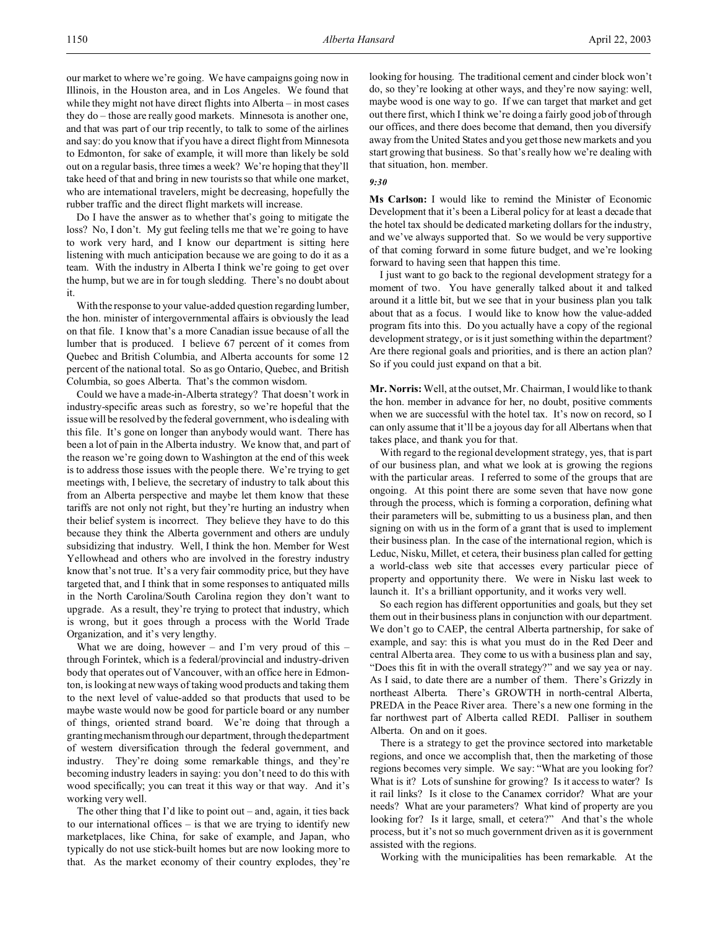our market to where we're going. We have campaigns going now in Illinois, in the Houston area, and in Los Angeles. We found that while they might not have direct flights into Alberta – in most cases they do – those are really good markets. Minnesota is another one, and that was part of our trip recently, to talk to some of the airlines and say: do you know that if you have a direct flight from Minnesota to Edmonton, for sake of example, it will more than likely be sold out on a regular basis, three times a week? We're hoping that they'll take heed of that and bring in new tourists so that while one market, who are international travelers, might be decreasing, hopefully the rubber traffic and the direct flight markets will increase.

Do I have the answer as to whether that's going to mitigate the loss? No, I don't. My gut feeling tells me that we're going to have to work very hard, and I know our department is sitting here listening with much anticipation because we are going to do it as a team. With the industry in Alberta I think we're going to get over the hump, but we are in for tough sledding. There's no doubt about it.

With the response to your value-added question regarding lumber, the hon. minister of intergovernmental affairs is obviously the lead on that file. I know that's a more Canadian issue because of all the lumber that is produced. I believe 67 percent of it comes from Quebec and British Columbia, and Alberta accounts for some 12 percent of the national total. So as go Ontario, Quebec, and British Columbia, so goes Alberta. That's the common wisdom.

Could we have a made-in-Alberta strategy? That doesn't work in industry-specific areas such as forestry, so we're hopeful that the issue will be resolved by the federal government, who is dealing with this file. It's gone on longer than anybody would want. There has been a lot of pain in the Alberta industry. We know that, and part of the reason we're going down to Washington at the end of this week is to address those issues with the people there. We're trying to get meetings with, I believe, the secretary of industry to talk about this from an Alberta perspective and maybe let them know that these tariffs are not only not right, but they're hurting an industry when their belief system is incorrect. They believe they have to do this because they think the Alberta government and others are unduly subsidizing that industry. Well, I think the hon. Member for West Yellowhead and others who are involved in the forestry industry know that's not true. It's a very fair commodity price, but they have targeted that, and I think that in some responses to antiquated mills in the North Carolina/South Carolina region they don't want to upgrade. As a result, they're trying to protect that industry, which is wrong, but it goes through a process with the World Trade Organization, and it's very lengthy.

What we are doing, however – and I'm very proud of this – through Forintek, which is a federal/provincial and industry-driven body that operates out of Vancouver, with an office here in Edmonton, is looking at new ways of taking wood products and taking them to the next level of value-added so that products that used to be maybe waste would now be good for particle board or any number of things, oriented strand board. We're doing that through a granting mechanismthrough our department, through the department of western diversification through the federal government, and industry. They're doing some remarkable things, and they're becoming industry leaders in saying: you don't need to do this with wood specifically; you can treat it this way or that way. And it's working very well.

The other thing that I'd like to point out – and, again, it ties back to our international offices – is that we are trying to identify new marketplaces, like China, for sake of example, and Japan, who typically do not use stick-built homes but are now looking more to that. As the market economy of their country explodes, they're looking for housing. The traditional cement and cinder block won't do, so they're looking at other ways, and they're now saying: well, maybe wood is one way to go. If we can target that market and get out there first, which I think we're doing a fairly good job of through our offices, and there does become that demand, then you diversify away from the United States and you get those new markets and you start growing that business. So that's really how we're dealing with that situation, hon. member.

#### *9:30*

**Ms Carlson:** I would like to remind the Minister of Economic Development that it's been a Liberal policy for at least a decade that the hotel tax should be dedicated marketing dollars for the industry, and we've always supported that. So we would be very supportive of that coming forward in some future budget, and we're looking forward to having seen that happen this time.

I just want to go back to the regional development strategy for a moment of two. You have generally talked about it and talked around it a little bit, but we see that in your business plan you talk about that as a focus. I would like to know how the value-added program fits into this. Do you actually have a copy of the regional development strategy, or is it just something within the department? Are there regional goals and priorities, and is there an action plan? So if you could just expand on that a bit.

**Mr. Norris:** Well, at the outset, Mr. Chairman, I would like to thank the hon. member in advance for her, no doubt, positive comments when we are successful with the hotel tax. It's now on record, so I can only assume that it'll be a joyous day for all Albertans when that takes place, and thank you for that.

With regard to the regional development strategy, yes, that is part of our business plan, and what we look at is growing the regions with the particular areas. I referred to some of the groups that are ongoing. At this point there are some seven that have now gone through the process, which is forming a corporation, defining what their parameters will be, submitting to us a business plan, and then signing on with us in the form of a grant that is used to implement their business plan. In the case of the international region, which is Leduc, Nisku, Millet, et cetera, their business plan called for getting a world-class web site that accesses every particular piece of property and opportunity there. We were in Nisku last week to launch it. It's a brilliant opportunity, and it works very well.

So each region has different opportunities and goals, but they set them out in their business plans in conjunction with our department. We don't go to CAEP, the central Alberta partnership, for sake of example, and say: this is what you must do in the Red Deer and central Alberta area. They come to us with a business plan and say, "Does this fit in with the overall strategy?" and we say yea or nay. As I said, to date there are a number of them. There's Grizzly in northeast Alberta. There's GROWTH in north-central Alberta, PREDA in the Peace River area. There's a new one forming in the far northwest part of Alberta called REDI. Palliser in southern Alberta. On and on it goes.

There is a strategy to get the province sectored into marketable regions, and once we accomplish that, then the marketing of those regions becomes very simple. We say: "What are you looking for? What is it? Lots of sunshine for growing? Is it access to water? Is it rail links? Is it close to the Canamex corridor? What are your needs? What are your parameters? What kind of property are you looking for? Is it large, small, et cetera?" And that's the whole process, but it's not so much government driven as it is government assisted with the regions.

Working with the municipalities has been remarkable. At the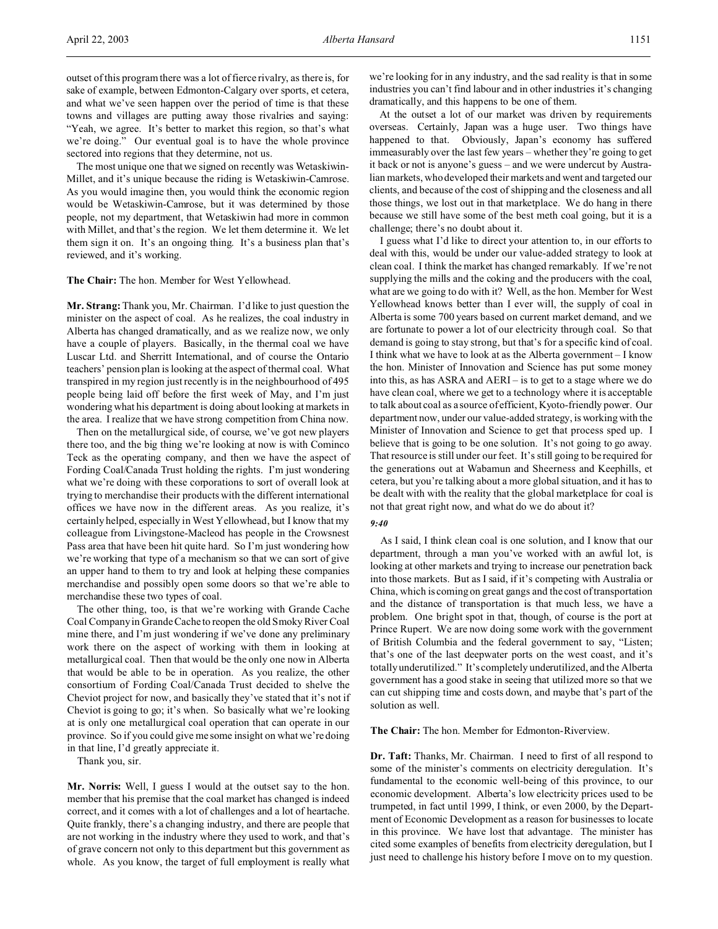outset of this program there was a lot of fierce rivalry, as there is, for sake of example, between Edmonton-Calgary over sports, et cetera, and what we've seen happen over the period of time is that these towns and villages are putting away those rivalries and saying: "Yeah, we agree. It's better to market this region, so that's what we're doing." Our eventual goal is to have the whole province sectored into regions that they determine, not us.

The most unique one that we signed on recently was Wetaskiwin-Millet, and it's unique because the riding is Wetaskiwin-Camrose. As you would imagine then, you would think the economic region would be Wetaskiwin-Camrose, but it was determined by those people, not my department, that Wetaskiwin had more in common with Millet, and that's the region. We let them determine it. We let them sign it on. It's an ongoing thing. It's a business plan that's reviewed, and it's working.

#### **The Chair:** The hon. Member for West Yellowhead.

**Mr. Strang:**Thank you, Mr. Chairman. I'd like to just question the minister on the aspect of coal. As he realizes, the coal industry in Alberta has changed dramatically, and as we realize now, we only have a couple of players. Basically, in the thermal coal we have Luscar Ltd. and Sherritt International, and of course the Ontario teachers' pension plan is looking at the aspect of thermal coal. What transpired in my region just recently is in the neighbourhood of 495 people being laid off before the first week of May, and I'm just wondering what his department is doing about looking at markets in the area. I realize that we have strong competition from China now.

Then on the metallurgical side, of course, we've got new players there too, and the big thing we're looking at now is with Cominco Teck as the operating company, and then we have the aspect of Fording Coal/Canada Trust holding the rights. I'm just wondering what we're doing with these corporations to sort of overall look at trying to merchandise their products with the different international offices we have now in the different areas. As you realize, it's certainly helped, especially in West Yellowhead, but I know that my colleague from Livingstone-Macleod has people in the Crowsnest Pass area that have been hit quite hard. So I'm just wondering how we're working that type of a mechanism so that we can sort of give an upper hand to them to try and look at helping these companies merchandise and possibly open some doors so that we're able to merchandise these two types of coal.

The other thing, too, is that we're working with Grande Cache Coal Company in Grande Cache to reopen the old Smoky River Coal mine there, and I'm just wondering if we've done any preliminary work there on the aspect of working with them in looking at metallurgical coal. Then that would be the only one now in Alberta that would be able to be in operation. As you realize, the other consortium of Fording Coal/Canada Trust decided to shelve the Cheviot project for now, and basically they've stated that it's not if Cheviot is going to go; it's when. So basically what we're looking at is only one metallurgical coal operation that can operate in our province. So if you could give me some insight on what we're doing in that line, I'd greatly appreciate it.

Thank you, sir.

**Mr. Norris:** Well, I guess I would at the outset say to the hon. member that his premise that the coal market has changed is indeed correct, and it comes with a lot of challenges and a lot of heartache. Quite frankly, there's a changing industry, and there are people that are not working in the industry where they used to work, and that's of grave concern not only to this department but this government as whole. As you know, the target of full employment is really what we're looking for in any industry, and the sad reality is that in some industries you can't find labour and in other industries it's changing dramatically, and this happens to be one of them.

At the outset a lot of our market was driven by requirements overseas. Certainly, Japan was a huge user. Two things have happened to that. Obviously, Japan's economy has suffered immeasurably over the last few years – whether they're going to get it back or not is anyone's guess – and we were undercut by Australian markets, who developed their markets and went and targeted our clients, and because of the cost of shipping and the closeness and all those things, we lost out in that marketplace. We do hang in there because we still have some of the best meth coal going, but it is a challenge; there's no doubt about it.

I guess what I'd like to direct your attention to, in our efforts to deal with this, would be under our value-added strategy to look at clean coal. I think the market has changed remarkably. If we're not supplying the mills and the coking and the producers with the coal, what are we going to do with it? Well, as the hon. Member for West Yellowhead knows better than I ever will, the supply of coal in Alberta is some 700 years based on current market demand, and we are fortunate to power a lot of our electricity through coal. So that demand is going to stay strong, but that's for a specific kind of coal. I think what we have to look at as the Alberta government – I know the hon. Minister of Innovation and Science has put some money into this, as has ASRA and AERI – is to get to a stage where we do have clean coal, where we get to a technology where it is acceptable to talk about coal as a source of efficient, Kyoto-friendly power. Our department now, under our value-added strategy, is working with the Minister of Innovation and Science to get that process sped up. I believe that is going to be one solution. It's not going to go away. That resource is still under our feet. It's still going to be required for the generations out at Wabamun and Sheerness and Keephills, et cetera, but you're talking about a more global situation, and it has to be dealt with with the reality that the global marketplace for coal is not that great right now, and what do we do about it?

## *9:40*

As I said, I think clean coal is one solution, and I know that our department, through a man you've worked with an awful lot, is looking at other markets and trying to increase our penetration back into those markets. But as I said, if it's competing with Australia or China, which is coming on great gangs and the cost of transportation and the distance of transportation is that much less, we have a problem. One bright spot in that, though, of course is the port at Prince Rupert. We are now doing some work with the government of British Columbia and the federal government to say, "Listen; that's one of the last deepwater ports on the west coast, and it's totally underutilized." It's completely underutilized, and the Alberta government has a good stake in seeing that utilized more so that we can cut shipping time and costs down, and maybe that's part of the solution as well.

**The Chair:** The hon. Member for Edmonton-Riverview.

**Dr. Taft:** Thanks, Mr. Chairman. I need to first of all respond to some of the minister's comments on electricity deregulation. It's fundamental to the economic well-being of this province, to our economic development. Alberta's low electricity prices used to be trumpeted, in fact until 1999, I think, or even 2000, by the Department of Economic Development as a reason for businesses to locate in this province. We have lost that advantage. The minister has cited some examples of benefits from electricity deregulation, but I just need to challenge his history before I move on to my question.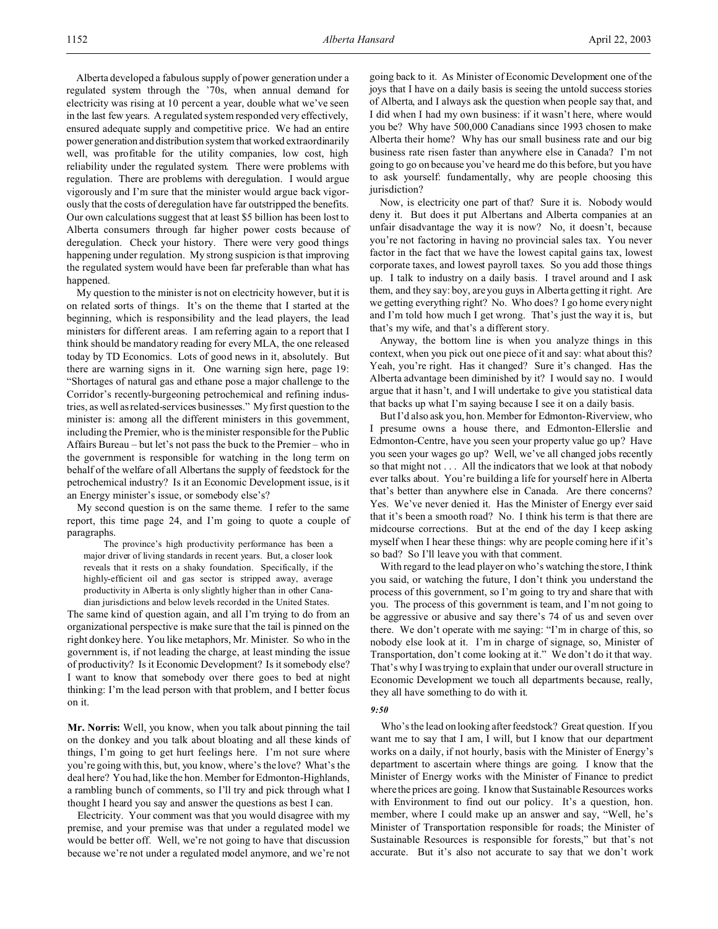Alberta developed a fabulous supply of power generation under a regulated system through the '70s, when annual demand for electricity was rising at 10 percent a year, double what we've seen in the last few years. A regulated system responded very effectively, ensured adequate supply and competitive price. We had an entire power generation and distribution system that worked extraordinarily well, was profitable for the utility companies, low cost, high reliability under the regulated system. There were problems with regulation. There are problems with deregulation. I would argue vigorously and I'm sure that the minister would argue back vigorously that the costs of deregulation have far outstripped the benefits. Our own calculations suggest that at least \$5 billion has been lost to Alberta consumers through far higher power costs because of deregulation. Check your history. There were very good things happening under regulation. My strong suspicion is that improving the regulated system would have been far preferable than what has happened.

My question to the minister is not on electricity however, but it is on related sorts of things. It's on the theme that I started at the beginning, which is responsibility and the lead players, the lead ministers for different areas. I am referring again to a report that I think should be mandatory reading for every MLA, the one released today by TD Economics. Lots of good news in it, absolutely. But there are warning signs in it. One warning sign here, page 19: "Shortages of natural gas and ethane pose a major challenge to the Corridor's recently-burgeoning petrochemical and refining industries, as well as related-services businesses." My first question to the minister is: among all the different ministers in this government, including the Premier, who is the minister responsible for the Public Affairs Bureau – but let's not pass the buck to the Premier – who in the government is responsible for watching in the long term on behalf of the welfare of all Albertans the supply of feedstock for the petrochemical industry? Is it an Economic Development issue, is it an Energy minister's issue, or somebody else's?

My second question is on the same theme. I refer to the same report, this time page 24, and I'm going to quote a couple of paragraphs.

The province's high productivity performance has been a major driver of living standards in recent years. But, a closer look reveals that it rests on a shaky foundation. Specifically, if the highly-efficient oil and gas sector is stripped away, average productivity in Alberta is only slightly higher than in other Canadian jurisdictions and below levels recorded in the United States.

The same kind of question again, and all I'm trying to do from an organizational perspective is make sure that the tail is pinned on the right donkey here. You like metaphors, Mr. Minister. So who in the government is, if not leading the charge, at least minding the issue of productivity? Is it Economic Development? Is it somebody else? I want to know that somebody over there goes to bed at night thinking: I'm the lead person with that problem, and I better focus on it.

**Mr. Norris:** Well, you know, when you talk about pinning the tail on the donkey and you talk about bloating and all these kinds of things, I'm going to get hurt feelings here. I'm not sure where you're going with this, but, you know, where's the love? What's the deal here? You had, like the hon. Member for Edmonton-Highlands, a rambling bunch of comments, so I'll try and pick through what I thought I heard you say and answer the questions as best I can.

Electricity. Your comment was that you would disagree with my premise, and your premise was that under a regulated model we would be better off. Well, we're not going to have that discussion because we're not under a regulated model anymore, and we're not going back to it. As Minister of Economic Development one of the joys that I have on a daily basis is seeing the untold success stories of Alberta, and I always ask the question when people say that, and I did when I had my own business: if it wasn't here, where would you be? Why have 500,000 Canadians since 1993 chosen to make Alberta their home? Why has our small business rate and our big business rate risen faster than anywhere else in Canada? I'm not going to go on because you've heard me do this before, but you have to ask yourself: fundamentally, why are people choosing this jurisdiction?

Now, is electricity one part of that? Sure it is. Nobody would deny it. But does it put Albertans and Alberta companies at an unfair disadvantage the way it is now? No, it doesn't, because you're not factoring in having no provincial sales tax. You never factor in the fact that we have the lowest capital gains tax, lowest corporate taxes, and lowest payroll taxes. So you add those things up. I talk to industry on a daily basis. I travel around and I ask them, and they say: boy, are you guys in Alberta getting it right. Are we getting everything right? No. Who does? I go home every night and I'm told how much I get wrong. That's just the way it is, but that's my wife, and that's a different story.

Anyway, the bottom line is when you analyze things in this context, when you pick out one piece of it and say: what about this? Yeah, you're right. Has it changed? Sure it's changed. Has the Alberta advantage been diminished by it? I would say no. I would argue that it hasn't, and I will undertake to give you statistical data that backs up what I'm saying because I see it on a daily basis.

But I'd also ask you, hon. Member for Edmonton-Riverview, who I presume owns a house there, and Edmonton-Ellerslie and Edmonton-Centre, have you seen your property value go up? Have you seen your wages go up? Well, we've all changed jobs recently so that might not . . . All the indicators that we look at that nobody ever talks about. You're building a life for yourself here in Alberta that's better than anywhere else in Canada. Are there concerns? Yes. We've never denied it. Has the Minister of Energy ever said that it's been a smooth road? No. I think his term is that there are midcourse corrections. But at the end of the day I keep asking myself when I hear these things: why are people coming here if it's so bad? So I'll leave you with that comment.

With regard to the lead player on who's watching the store, I think you said, or watching the future, I don't think you understand the process of this government, so I'm going to try and share that with you. The process of this government is team, and I'm not going to be aggressive or abusive and say there's 74 of us and seven over there. We don't operate with me saying: "I'm in charge of this, so nobody else look at it. I'm in charge of signage, so, Minister of Transportation, don't come looking at it." We don't do it that way. That's why I was trying to explain that under our overall structure in Economic Development we touch all departments because, really, they all have something to do with it.

## *9:50*

Who's the lead on looking after feedstock? Great question. If you want me to say that I am, I will, but I know that our department works on a daily, if not hourly, basis with the Minister of Energy's department to ascertain where things are going. I know that the Minister of Energy works with the Minister of Finance to predict where the prices are going. I know that Sustainable Resources works with Environment to find out our policy. It's a question, hon. member, where I could make up an answer and say, "Well, he's Minister of Transportation responsible for roads; the Minister of Sustainable Resources is responsible for forests," but that's not accurate. But it's also not accurate to say that we don't work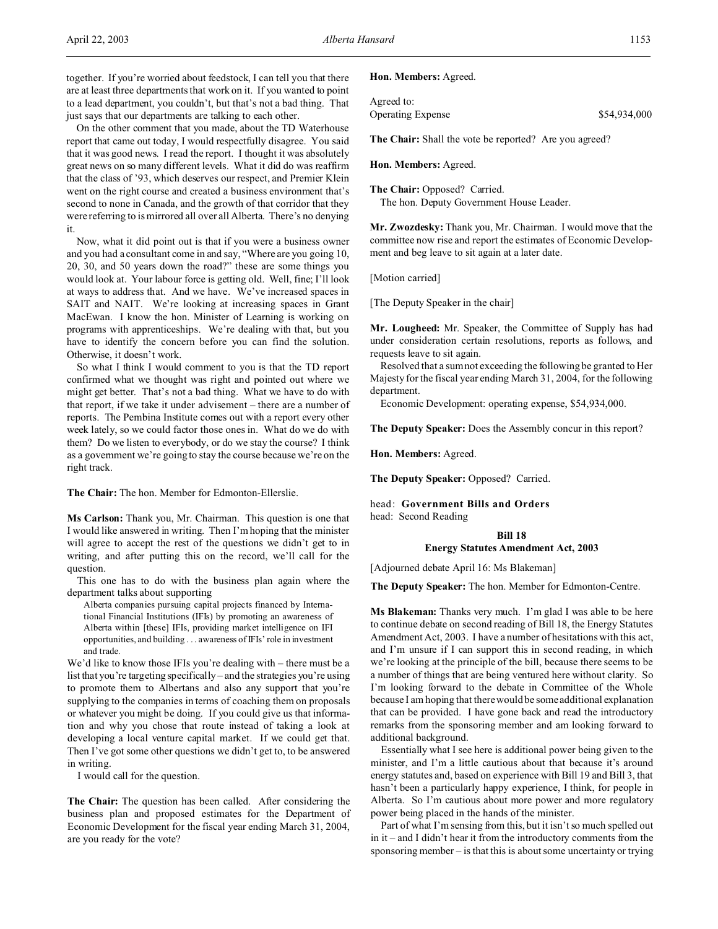together. If you're worried about feedstock, I can tell you that there are at least three departments that work on it. If you wanted to point to a lead department, you couldn't, but that's not a bad thing. That just says that our departments are talking to each other.

On the other comment that you made, about the TD Waterhouse report that came out today, I would respectfully disagree. You said that it was good news. I read the report. I thought it was absolutely great news on so many different levels. What it did do was reaffirm that the class of '93, which deserves our respect, and Premier Klein went on the right course and created a business environment that's second to none in Canada, and the growth of that corridor that they were referring to is mirrored all over all Alberta. There's no denying it.

Now, what it did point out is that if you were a business owner and you had a consultant come in and say, "Where are you going 10, 20, 30, and 50 years down the road?" these are some things you would look at. Your labour force is getting old. Well, fine; I'll look at ways to address that. And we have. We've increased spaces in SAIT and NAIT. We're looking at increasing spaces in Grant MacEwan. I know the hon. Minister of Learning is working on programs with apprenticeships. We're dealing with that, but you have to identify the concern before you can find the solution. Otherwise, it doesn't work.

So what I think I would comment to you is that the TD report confirmed what we thought was right and pointed out where we might get better. That's not a bad thing. What we have to do with that report, if we take it under advisement – there are a number of reports. The Pembina Institute comes out with a report every other week lately, so we could factor those ones in. What do we do with them? Do we listen to everybody, or do we stay the course? I think as a government we're going to stay the course because we're on the right track.

**The Chair:** The hon. Member for Edmonton-Ellerslie.

**Ms Carlson:** Thank you, Mr. Chairman. This question is one that I would like answered in writing. Then I'm hoping that the minister will agree to accept the rest of the questions we didn't get to in writing, and after putting this on the record, we'll call for the question.

This one has to do with the business plan again where the department talks about supporting

Alberta companies pursuing capital projects financed by International Financial Institutions (IFIs) by promoting an awareness of Alberta within [these] IFIs, providing market intelligence on IFI opportunities, and building . . . awareness of IFIs' role in investment and trade.

We'd like to know those IFIs you're dealing with – there must be a list that you're targeting specifically – and the strategies you're using to promote them to Albertans and also any support that you're supplying to the companies in terms of coaching them on proposals or whatever you might be doing. If you could give us that information and why you chose that route instead of taking a look at developing a local venture capital market. If we could get that. Then I've got some other questions we didn't get to, to be answered in writing.

I would call for the question.

**The Chair:** The question has been called. After considering the business plan and proposed estimates for the Department of Economic Development for the fiscal year ending March 31, 2004, are you ready for the vote?

### **Hon. Members:** Agreed.

| Agreed to:               |              |
|--------------------------|--------------|
| <b>Operating Expense</b> | \$54,934,000 |

**The Chair:** Shall the vote be reported? Are you agreed?

**Hon. Members:** Agreed.

**The Chair:** Opposed? Carried. The hon. Deputy Government House Leader.

**Mr. Zwozdesky:** Thank you, Mr. Chairman. I would move that the committee now rise and report the estimates of Economic Development and beg leave to sit again at a later date.

[Motion carried]

[The Deputy Speaker in the chair]

**Mr. Lougheed:** Mr. Speaker, the Committee of Supply has had under consideration certain resolutions, reports as follows, and requests leave to sit again.

Resolved that a sum not exceeding the following be granted to Her Majesty for the fiscal year ending March 31, 2004, for the following department.

Economic Development: operating expense, \$54,934,000.

**The Deputy Speaker:** Does the Assembly concur in this report?

**Hon. Members:** Agreed.

**The Deputy Speaker:** Opposed? Carried.

head: **Government Bills and Orders**

head: Second Reading

## **Bill 18 Energy Statutes Amendment Act, 2003**

[Adjourned debate April 16: Ms Blakeman]

**The Deputy Speaker:** The hon. Member for Edmonton-Centre.

**Ms Blakeman:** Thanks very much. I'm glad I was able to be here to continue debate on second reading of Bill 18, the Energy Statutes Amendment Act, 2003. I have a number of hesitations with this act, and I'm unsure if I can support this in second reading, in which we're looking at the principle of the bill, because there seems to be a number of things that are being ventured here without clarity. So I'm looking forward to the debate in Committee of the Whole because I am hoping that there would be some additional explanation that can be provided. I have gone back and read the introductory remarks from the sponsoring member and am looking forward to additional background.

Essentially what I see here is additional power being given to the minister, and I'm a little cautious about that because it's around energy statutes and, based on experience with Bill 19 and Bill 3, that hasn't been a particularly happy experience, I think, for people in Alberta. So I'm cautious about more power and more regulatory power being placed in the hands of the minister.

Part of what I'm sensing from this, but it isn't so much spelled out in it – and I didn't hear it from the introductory comments from the sponsoring member – is that this is about some uncertainty or trying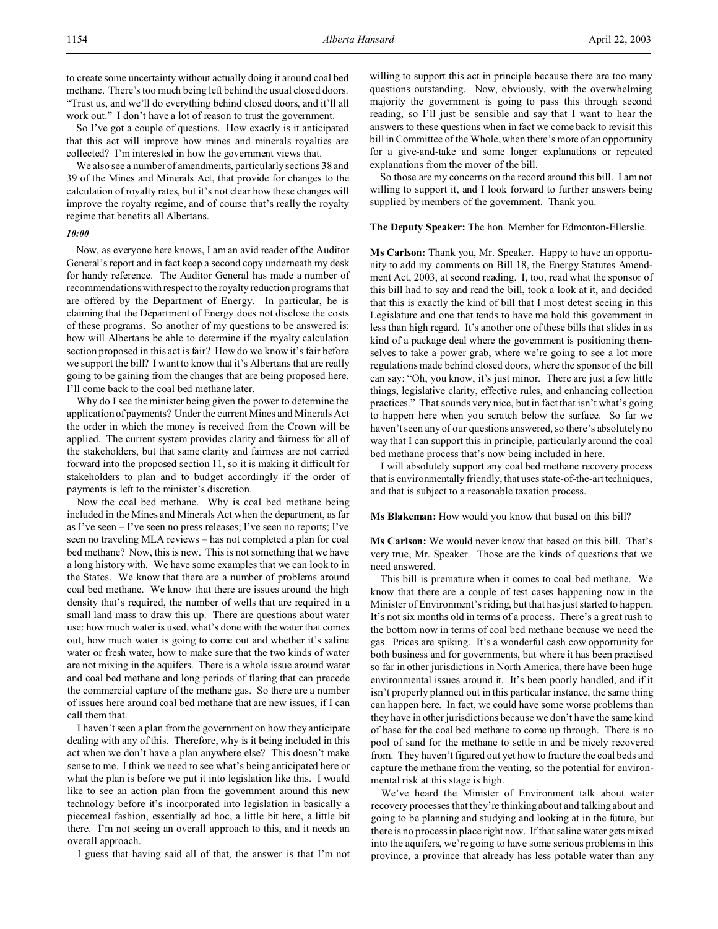to create some uncertainty without actually doing it around coal bed methane. There's too much being left behind the usual closed doors. "Trust us, and we'll do everything behind closed doors, and it'll all work out." I don't have a lot of reason to trust the government.

So I've got a couple of questions. How exactly is it anticipated that this act will improve how mines and minerals royalties are collected? I'm interested in how the government views that.

We also see a number of amendments, particularly sections 38 and 39 of the Mines and Minerals Act, that provide for changes to the calculation of royalty rates, but it's not clear how these changes will improve the royalty regime, and of course that's really the royalty regime that benefits all Albertans.

## *10:00*

Now, as everyone here knows, I am an avid reader of the Auditor General's report and in fact keep a second copy underneath my desk for handy reference. The Auditor General has made a number of recommendations with respect to the royalty reduction programs that are offered by the Department of Energy. In particular, he is claiming that the Department of Energy does not disclose the costs of these programs. So another of my questions to be answered is: how will Albertans be able to determine if the royalty calculation section proposed in this act is fair? How do we know it's fair before we support the bill? I want to know that it's Albertans that are really going to be gaining from the changes that are being proposed here. I'll come back to the coal bed methane later.

Why do I see the minister being given the power to determine the application of payments? Under the current Mines and Minerals Act the order in which the money is received from the Crown will be applied. The current system provides clarity and fairness for all of the stakeholders, but that same clarity and fairness are not carried forward into the proposed section 11, so it is making it difficult for stakeholders to plan and to budget accordingly if the order of payments is left to the minister's discretion.

Now the coal bed methane. Why is coal bed methane being included in the Mines and Minerals Act when the department, as far as I've seen – I've seen no press releases; I've seen no reports; I've seen no traveling MLA reviews – has not completed a plan for coal bed methane? Now, this is new. This is not something that we have a long history with. We have some examples that we can look to in the States. We know that there are a number of problems around coal bed methane. We know that there are issues around the high density that's required, the number of wells that are required in a small land mass to draw this up. There are questions about water use: how much water is used, what's done with the water that comes out, how much water is going to come out and whether it's saline water or fresh water, how to make sure that the two kinds of water are not mixing in the aquifers. There is a whole issue around water and coal bed methane and long periods of flaring that can precede the commercial capture of the methane gas. So there are a number of issues here around coal bed methane that are new issues, if I can call them that.

I haven't seen a plan from the government on how they anticipate dealing with any of this. Therefore, why is it being included in this act when we don't have a plan anywhere else? This doesn't make sense to me. I think we need to see what's being anticipated here or what the plan is before we put it into legislation like this. I would like to see an action plan from the government around this new technology before it's incorporated into legislation in basically a piecemeal fashion, essentially ad hoc, a little bit here, a little bit there. I'm not seeing an overall approach to this, and it needs an overall approach.

I guess that having said all of that, the answer is that I'm not

willing to support this act in principle because there are too many questions outstanding. Now, obviously, with the overwhelming majority the government is going to pass this through second reading, so I'll just be sensible and say that I want to hear the answers to these questions when in fact we come back to revisit this bill in Committee of the Whole, when there's more of an opportunity for a give-and-take and some longer explanations or repeated explanations from the mover of the bill.

So those are my concerns on the record around this bill. I am not willing to support it, and I look forward to further answers being supplied by members of the government. Thank you.

**The Deputy Speaker:** The hon. Member for Edmonton-Ellerslie.

**Ms Carlson:** Thank you, Mr. Speaker. Happy to have an opportunity to add my comments on Bill 18, the Energy Statutes Amendment Act, 2003, at second reading. I, too, read what the sponsor of this bill had to say and read the bill, took a look at it, and decided that this is exactly the kind of bill that I most detest seeing in this Legislature and one that tends to have me hold this government in less than high regard. It's another one of these bills that slides in as kind of a package deal where the government is positioning themselves to take a power grab, where we're going to see a lot more regulations made behind closed doors, where the sponsor of the bill can say: "Oh, you know, it's just minor. There are just a few little things, legislative clarity, effective rules, and enhancing collection practices." That sounds very nice, but in fact that isn't what's going to happen here when you scratch below the surface. So far we haven't seen any of our questions answered, so there's absolutely no way that I can support this in principle, particularly around the coal bed methane process that's now being included in here.

I will absolutely support any coal bed methane recovery process that is environmentally friendly, that uses state-of-the-art techniques, and that is subject to a reasonable taxation process.

**Ms Blakeman:** How would you know that based on this bill?

**Ms Carlson:** We would never know that based on this bill. That's very true, Mr. Speaker. Those are the kinds of questions that we need answered.

This bill is premature when it comes to coal bed methane. We know that there are a couple of test cases happening now in the Minister of Environment's riding, but that has just started to happen. It's not six months old in terms of a process. There's a great rush to the bottom now in terms of coal bed methane because we need the gas. Prices are spiking. It's a wonderful cash cow opportunity for both business and for governments, but where it has been practised so far in other jurisdictions in North America, there have been huge environmental issues around it. It's been poorly handled, and if it isn't properly planned out in this particular instance, the same thing can happen here. In fact, we could have some worse problems than they have in other jurisdictions because we don't have the same kind of base for the coal bed methane to come up through. There is no pool of sand for the methane to settle in and be nicely recovered from. They haven't figured out yet how to fracture the coal beds and capture the methane from the venting, so the potential for environmental risk at this stage is high.

We've heard the Minister of Environment talk about water recovery processes that they're thinking about and talking about and going to be planning and studying and looking at in the future, but there is no process in place right now. If that saline water gets mixed into the aquifers, we're going to have some serious problems in this province, a province that already has less potable water than any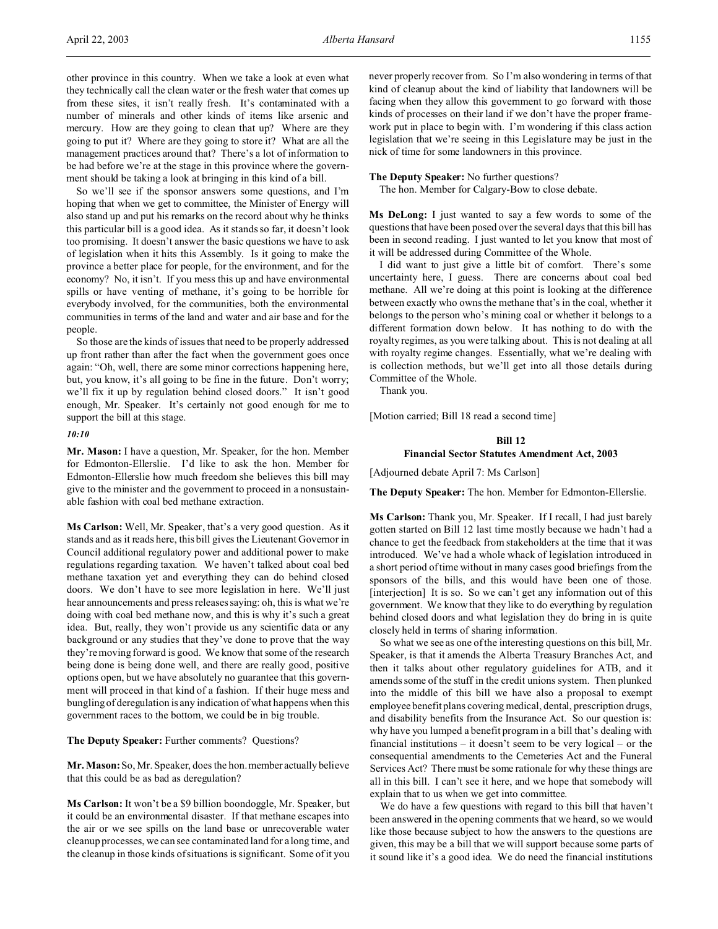So we'll see if the sponsor answers some questions, and I'm hoping that when we get to committee, the Minister of Energy will also stand up and put his remarks on the record about why he thinks this particular bill is a good idea. As it stands so far, it doesn't look too promising. It doesn't answer the basic questions we have to ask of legislation when it hits this Assembly. Is it going to make the province a better place for people, for the environment, and for the economy? No, it isn't. If you mess this up and have environmental spills or have venting of methane, it's going to be horrible for everybody involved, for the communities, both the environmental communities in terms of the land and water and air base and for the people.

So those are the kinds of issues that need to be properly addressed up front rather than after the fact when the government goes once again: "Oh, well, there are some minor corrections happening here, but, you know, it's all going to be fine in the future. Don't worry; we'll fix it up by regulation behind closed doors." It isn't good enough, Mr. Speaker. It's certainly not good enough for me to support the bill at this stage.

#### *10:10*

**Mr. Mason:** I have a question, Mr. Speaker, for the hon. Member for Edmonton-Ellerslie. I'd like to ask the hon. Member for Edmonton-Ellerslie how much freedom she believes this bill may give to the minister and the government to proceed in a nonsustainable fashion with coal bed methane extraction.

**Ms Carlson:** Well, Mr. Speaker, that's a very good question. As it stands and as it reads here, this bill gives the Lieutenant Governor in Council additional regulatory power and additional power to make regulations regarding taxation. We haven't talked about coal bed methane taxation yet and everything they can do behind closed doors. We don't have to see more legislation in here. We'll just hear announcements and press releases saying: oh, this is what we're doing with coal bed methane now, and this is why it's such a great idea. But, really, they won't provide us any scientific data or any background or any studies that they've done to prove that the way they're moving forward is good. We know that some of the research being done is being done well, and there are really good, positive options open, but we have absolutely no guarantee that this government will proceed in that kind of a fashion. If their huge mess and bungling of deregulation is any indication of what happens when this government races to the bottom, we could be in big trouble.

## **The Deputy Speaker:** Further comments? Questions?

**Mr. Mason:** So, Mr. Speaker, does the hon. member actually believe that this could be as bad as deregulation?

**Ms Carlson:** It won't be a \$9 billion boondoggle, Mr. Speaker, but it could be an environmental disaster. If that methane escapes into the air or we see spills on the land base or unrecoverable water cleanup processes, we can see contaminated land for a long time, and the cleanup in those kinds of situations is significant. Some of it you

never properly recover from. So I'm also wondering in terms of that kind of cleanup about the kind of liability that landowners will be facing when they allow this government to go forward with those kinds of processes on their land if we don't have the proper framework put in place to begin with. I'm wondering if this class action legislation that we're seeing in this Legislature may be just in the nick of time for some landowners in this province.

**The Deputy Speaker:** No further questions?

The hon. Member for Calgary-Bow to close debate.

**Ms DeLong:** I just wanted to say a few words to some of the questions that have been posed over the several days that this bill has been in second reading. I just wanted to let you know that most of it will be addressed during Committee of the Whole.

I did want to just give a little bit of comfort. There's some uncertainty here, I guess. There are concerns about coal bed methane. All we're doing at this point is looking at the difference between exactly who owns the methane that's in the coal, whether it belongs to the person who's mining coal or whether it belongs to a different formation down below. It has nothing to do with the royalty regimes, as you were talking about. This is not dealing at all with royalty regime changes. Essentially, what we're dealing with is collection methods, but we'll get into all those details during Committee of the Whole.

Thank you.

[Motion carried; Bill 18 read a second time]

## **Bill 12**

### **Financial Sector Statutes Amendment Act, 2003**

[Adjourned debate April 7: Ms Carlson]

**The Deputy Speaker:** The hon. Member for Edmonton-Ellerslie.

**Ms Carlson:** Thank you, Mr. Speaker. If I recall, I had just barely gotten started on Bill 12 last time mostly because we hadn't had a chance to get the feedback from stakeholders at the time that it was introduced. We've had a whole whack of legislation introduced in a short period of time without in many cases good briefings from the sponsors of the bills, and this would have been one of those. [interjection] It is so. So we can't get any information out of this government. We know that they like to do everything by regulation behind closed doors and what legislation they do bring in is quite closely held in terms of sharing information.

So what we see as one of the interesting questions on this bill, Mr. Speaker, is that it amends the Alberta Treasury Branches Act, and then it talks about other regulatory guidelines for ATB, and it amends some of the stuff in the credit unions system. Then plunked into the middle of this bill we have also a proposal to exempt employee benefit plans covering medical, dental, prescription drugs, and disability benefits from the Insurance Act. So our question is: why have you lumped a benefit program in a bill that's dealing with financial institutions – it doesn't seem to be very logical – or the consequential amendments to the Cemeteries Act and the Funeral Services Act? There must be some rationale for why these things are all in this bill. I can't see it here, and we hope that somebody will explain that to us when we get into committee.

We do have a few questions with regard to this bill that haven't been answered in the opening comments that we heard, so we would like those because subject to how the answers to the questions are given, this may be a bill that we will support because some parts of it sound like it's a good idea. We do need the financial institutions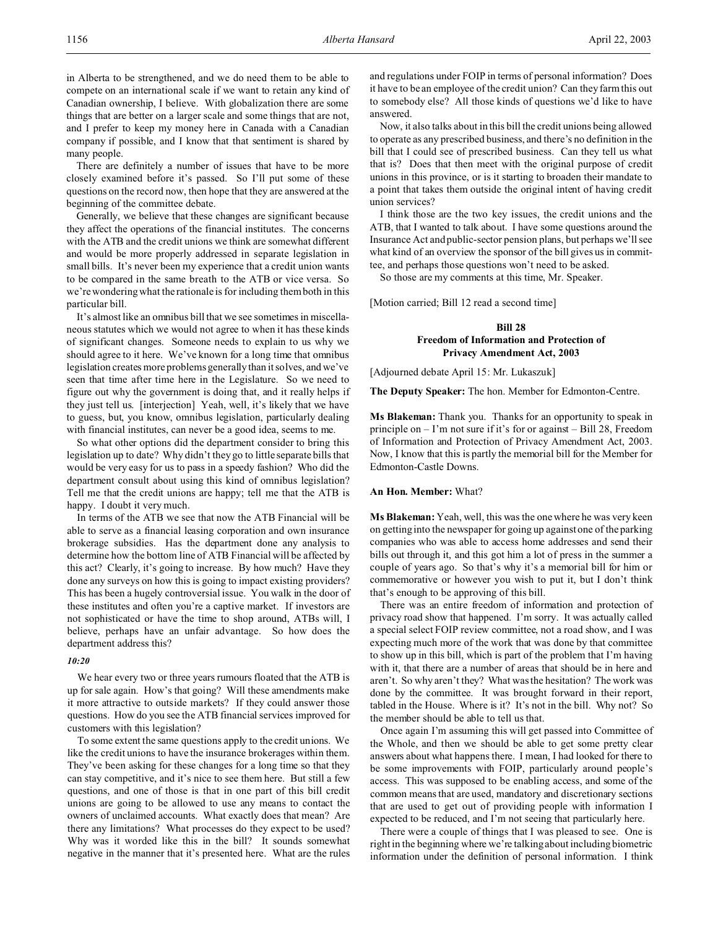in Alberta to be strengthened, and we do need them to be able to compete on an international scale if we want to retain any kind of Canadian ownership, I believe. With globalization there are some things that are better on a larger scale and some things that are not, and I prefer to keep my money here in Canada with a Canadian company if possible, and I know that that sentiment is shared by many people.

There are definitely a number of issues that have to be more closely examined before it's passed. So I'll put some of these questions on the record now, then hope that they are answered at the beginning of the committee debate.

Generally, we believe that these changes are significant because they affect the operations of the financial institutes. The concerns with the ATB and the credit unions we think are somewhat different and would be more properly addressed in separate legislation in small bills. It's never been my experience that a credit union wants to be compared in the same breath to the ATB or vice versa. So we're wondering what the rationale is for including them both in this particular bill.

It's almost like an omnibus bill that we see sometimes in miscellaneous statutes which we would not agree to when it has these kinds of significant changes. Someone needs to explain to us why we should agree to it here. We've known for a long time that omnibus legislation creates more problems generally than it solves, and we've seen that time after time here in the Legislature. So we need to figure out why the government is doing that, and it really helps if they just tell us. [interjection] Yeah, well, it's likely that we have to guess, but, you know, omnibus legislation, particularly dealing with financial institutes, can never be a good idea, seems to me.

So what other options did the department consider to bring this legislation up to date? Why didn't they go to little separate bills that would be very easy for us to pass in a speedy fashion? Who did the department consult about using this kind of omnibus legislation? Tell me that the credit unions are happy; tell me that the ATB is happy. I doubt it very much.

In terms of the ATB we see that now the ATB Financial will be able to serve as a financial leasing corporation and own insurance brokerage subsidies. Has the department done any analysis to determine how the bottom line of ATB Financial will be affected by this act? Clearly, it's going to increase. By how much? Have they done any surveys on how this is going to impact existing providers? This has been a hugely controversial issue. You walk in the door of these institutes and often you're a captive market. If investors are not sophisticated or have the time to shop around, ATBs will, I believe, perhaps have an unfair advantage. So how does the department address this?

#### *10:20*

We hear every two or three years rumours floated that the ATB is up for sale again. How's that going? Will these amendments make it more attractive to outside markets? If they could answer those questions. How do you see the ATB financial services improved for customers with this legislation?

To some extent the same questions apply to the credit unions. We like the credit unions to have the insurance brokerages within them. They've been asking for these changes for a long time so that they can stay competitive, and it's nice to see them here. But still a few questions, and one of those is that in one part of this bill credit unions are going to be allowed to use any means to contact the owners of unclaimed accounts. What exactly does that mean? Are there any limitations? What processes do they expect to be used? Why was it worded like this in the bill? It sounds somewhat negative in the manner that it's presented here. What are the rules and regulations under FOIP in terms of personal information? Does it have to be an employee of the credit union? Can they farm this out to somebody else? All those kinds of questions we'd like to have answered.

Now, it also talks about in this bill the credit unions being allowed to operate as any prescribed business, and there's no definition in the bill that I could see of prescribed business. Can they tell us what that is? Does that then meet with the original purpose of credit unions in this province, or is it starting to broaden their mandate to a point that takes them outside the original intent of having credit union services?

I think those are the two key issues, the credit unions and the ATB, that I wanted to talk about. I have some questions around the Insurance Act and public-sector pension plans, but perhaps we'll see what kind of an overview the sponsor of the bill gives us in committee, and perhaps those questions won't need to be asked.

So those are my comments at this time, Mr. Speaker.

[Motion carried; Bill 12 read a second time]

## **Bill 28 Freedom of Information and Protection of Privacy Amendment Act, 2003**

[Adjourned debate April 15: Mr. Lukaszuk]

**The Deputy Speaker:** The hon. Member for Edmonton-Centre.

**Ms Blakeman:** Thank you. Thanks for an opportunity to speak in principle on – I'm not sure if it's for or against – Bill 28, Freedom of Information and Protection of Privacy Amendment Act, 2003. Now, I know that this is partly the memorial bill for the Member for Edmonton-Castle Downs.

## **An Hon. Member:** What?

**Ms Blakeman:** Yeah, well, this was the one where he was very keen on getting into the newspaper for going up against one of the parking companies who was able to access home addresses and send their bills out through it, and this got him a lot of press in the summer a couple of years ago. So that's why it's a memorial bill for him or commemorative or however you wish to put it, but I don't think that's enough to be approving of this bill.

There was an entire freedom of information and protection of privacy road show that happened. I'm sorry. It was actually called a special select FOIP review committee, not a road show, and I was expecting much more of the work that was done by that committee to show up in this bill, which is part of the problem that I'm having with it, that there are a number of areas that should be in here and aren't. So why aren't they? What was the hesitation? The work was done by the committee. It was brought forward in their report, tabled in the House. Where is it? It's not in the bill. Why not? So the member should be able to tell us that.

Once again I'm assuming this will get passed into Committee of the Whole, and then we should be able to get some pretty clear answers about what happens there. I mean, I had looked for there to be some improvements with FOIP, particularly around people's access. This was supposed to be enabling access, and some of the common means that are used, mandatory and discretionary sections that are used to get out of providing people with information I expected to be reduced, and I'm not seeing that particularly here.

There were a couple of things that I was pleased to see. One is right in the beginning where we're talking about including biometric information under the definition of personal information. I think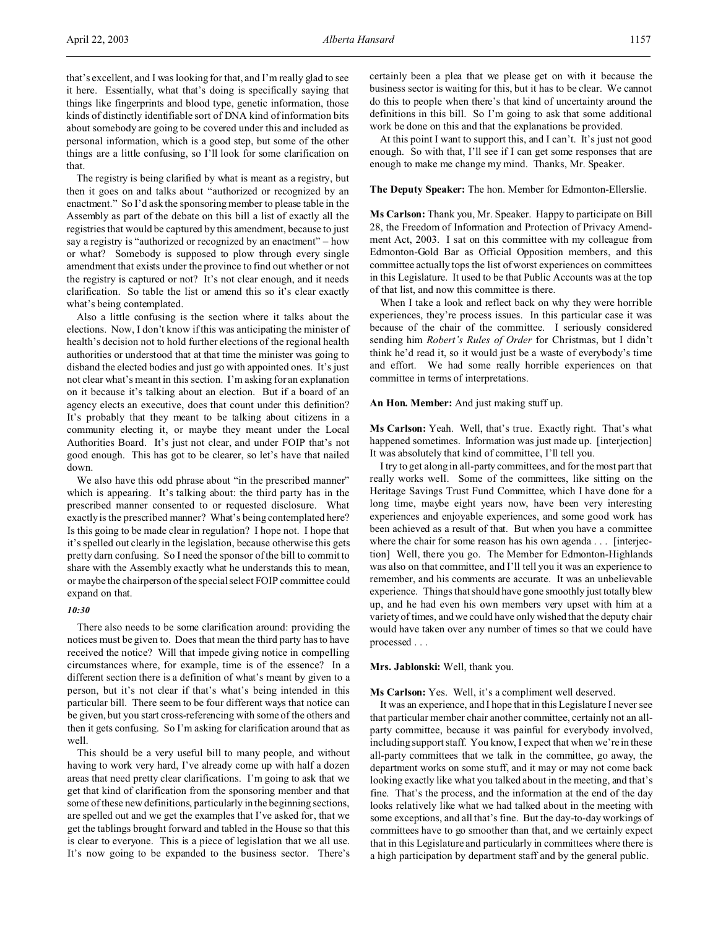that's excellent, and I was looking for that, and I'm really glad to see it here. Essentially, what that's doing is specifically saying that things like fingerprints and blood type, genetic information, those kinds of distinctly identifiable sort of DNA kind of information bits about somebody are going to be covered under this and included as personal information, which is a good step, but some of the other things are a little confusing, so I'll look for some clarification on that.

The registry is being clarified by what is meant as a registry, but then it goes on and talks about "authorized or recognized by an enactment." So I'd ask the sponsoring member to please table in the Assembly as part of the debate on this bill a list of exactly all the registries that would be captured by this amendment, because to just say a registry is "authorized or recognized by an enactment" – how or what? Somebody is supposed to plow through every single amendment that exists under the province to find out whether or not the registry is captured or not? It's not clear enough, and it needs clarification. So table the list or amend this so it's clear exactly what's being contemplated.

Also a little confusing is the section where it talks about the elections. Now, I don't know if this was anticipating the minister of health's decision not to hold further elections of the regional health authorities or understood that at that time the minister was going to disband the elected bodies and just go with appointed ones. It's just not clear what's meant in this section. I'm asking for an explanation on it because it's talking about an election. But if a board of an agency elects an executive, does that count under this definition? It's probably that they meant to be talking about citizens in a community electing it, or maybe they meant under the Local Authorities Board. It's just not clear, and under FOIP that's not good enough. This has got to be clearer, so let's have that nailed down.

We also have this odd phrase about "in the prescribed manner" which is appearing. It's talking about: the third party has in the prescribed manner consented to or requested disclosure. What exactly is the prescribed manner? What's being contemplated here? Is this going to be made clear in regulation? I hope not. I hope that it's spelled out clearly in the legislation, because otherwise this gets pretty darn confusing. So I need the sponsor of the bill to commit to share with the Assembly exactly what he understands this to mean, or maybe the chairperson of the special select FOIP committee could expand on that.

## *10:30*

There also needs to be some clarification around: providing the notices must be given to. Does that mean the third party has to have received the notice? Will that impede giving notice in compelling circumstances where, for example, time is of the essence? In a different section there is a definition of what's meant by given to a person, but it's not clear if that's what's being intended in this particular bill. There seem to be four different ways that notice can be given, but you start cross-referencing with some of the others and then it gets confusing. So I'm asking for clarification around that as well.

This should be a very useful bill to many people, and without having to work very hard, I've already come up with half a dozen areas that need pretty clear clarifications. I'm going to ask that we get that kind of clarification from the sponsoring member and that some of these new definitions, particularly in the beginning sections, are spelled out and we get the examples that I've asked for, that we get the tablings brought forward and tabled in the House so that this is clear to everyone. This is a piece of legislation that we all use. It's now going to be expanded to the business sector. There's

certainly been a plea that we please get on with it because the business sector is waiting for this, but it has to be clear. We cannot do this to people when there's that kind of uncertainty around the definitions in this bill. So I'm going to ask that some additional work be done on this and that the explanations be provided.

At this point I want to support this, and I can't. It's just not good enough. So with that, I'll see if I can get some responses that are enough to make me change my mind. Thanks, Mr. Speaker.

## **The Deputy Speaker:** The hon. Member for Edmonton-Ellerslie.

**Ms Carlson:** Thank you, Mr. Speaker. Happy to participate on Bill 28, the Freedom of Information and Protection of Privacy Amendment Act, 2003. I sat on this committee with my colleague from Edmonton-Gold Bar as Official Opposition members, and this committee actually tops the list of worst experiences on committees in this Legislature. It used to be that Public Accounts was at the top of that list, and now this committee is there.

When I take a look and reflect back on why they were horrible experiences, they're process issues. In this particular case it was because of the chair of the committee. I seriously considered sending him *Robert's Rules of Order* for Christmas, but I didn't think he'd read it, so it would just be a waste of everybody's time and effort. We had some really horrible experiences on that committee in terms of interpretations.

### **An Hon. Member:** And just making stuff up.

**Ms Carlson:** Yeah. Well, that's true. Exactly right. That's what happened sometimes. Information was just made up. [interjection] It was absolutely that kind of committee, I'll tell you.

I try to get along in all-party committees, and for the most part that really works well. Some of the committees, like sitting on the Heritage Savings Trust Fund Committee, which I have done for a long time, maybe eight years now, have been very interesting experiences and enjoyable experiences, and some good work has been achieved as a result of that. But when you have a committee where the chair for some reason has his own agenda . . . [interjection] Well, there you go. The Member for Edmonton-Highlands was also on that committee, and I'll tell you it was an experience to remember, and his comments are accurate. It was an unbelievable experience. Things that should have gone smoothly just totally blew up, and he had even his own members very upset with him at a variety of times, and we could have only wished that the deputy chair would have taken over any number of times so that we could have processed . . .

### **Mrs. Jablonski:** Well, thank you.

**Ms Carlson:** Yes. Well, it's a compliment well deserved.

It was an experience, and I hope that in this Legislature I never see that particular member chair another committee, certainly not an allparty committee, because it was painful for everybody involved, including support staff. You know, I expect that when we're in these all-party committees that we talk in the committee, go away, the department works on some stuff, and it may or may not come back looking exactly like what you talked about in the meeting, and that's fine. That's the process, and the information at the end of the day looks relatively like what we had talked about in the meeting with some exceptions, and all that's fine. But the day-to-day workings of committees have to go smoother than that, and we certainly expect that in this Legislature and particularly in committees where there is a high participation by department staff and by the general public.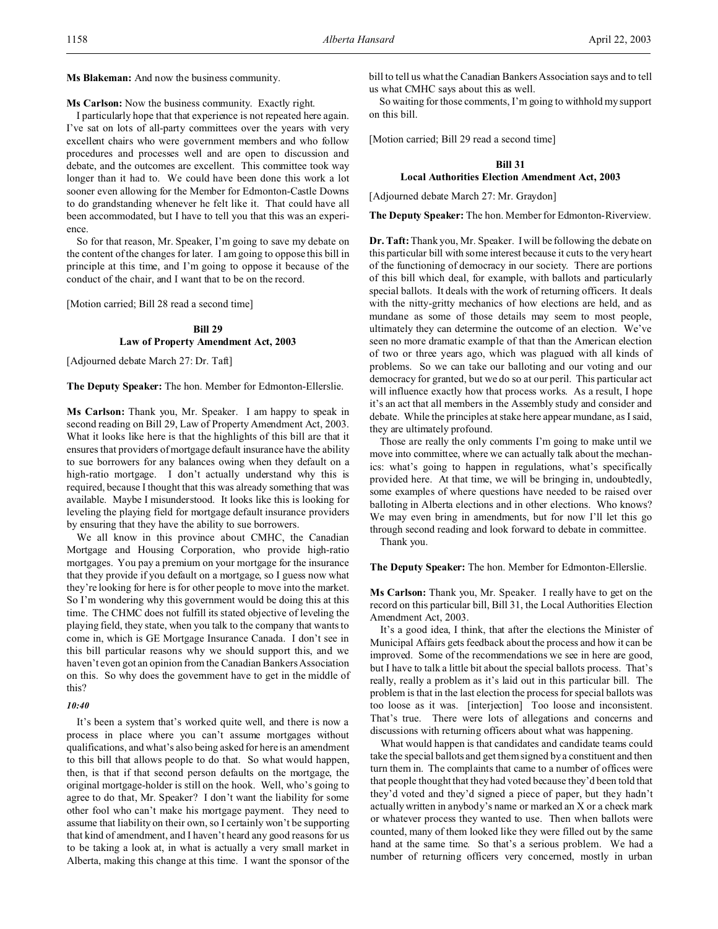**Ms Blakeman:** And now the business community.

**Ms Carlson:** Now the business community. Exactly right.

I particularly hope that that experience is not repeated here again. I've sat on lots of all-party committees over the years with very excellent chairs who were government members and who follow procedures and processes well and are open to discussion and debate, and the outcomes are excellent. This committee took way longer than it had to. We could have been done this work a lot sooner even allowing for the Member for Edmonton-Castle Downs to do grandstanding whenever he felt like it. That could have all been accommodated, but I have to tell you that this was an experience.

So for that reason, Mr. Speaker, I'm going to save my debate on the content of the changes for later. I am going to oppose this bill in principle at this time, and I'm going to oppose it because of the conduct of the chair, and I want that to be on the record.

[Motion carried; Bill 28 read a second time]

# **Bill 29 Law of Property Amendment Act, 2003**

[Adjourned debate March 27: Dr. Taft]

**The Deputy Speaker:** The hon. Member for Edmonton-Ellerslie.

**Ms Carlson:** Thank you, Mr. Speaker. I am happy to speak in second reading on Bill 29, Law of Property Amendment Act, 2003. What it looks like here is that the highlights of this bill are that it ensures that providers of mortgage default insurance have the ability to sue borrowers for any balances owing when they default on a high-ratio mortgage. I don't actually understand why this is required, because I thought that this was already something that was available. Maybe I misunderstood. It looks like this is looking for leveling the playing field for mortgage default insurance providers by ensuring that they have the ability to sue borrowers.

We all know in this province about CMHC, the Canadian Mortgage and Housing Corporation, who provide high-ratio mortgages. You pay a premium on your mortgage for the insurance that they provide if you default on a mortgage, so I guess now what they're looking for here is for other people to move into the market. So I'm wondering why this government would be doing this at this time. The CHMC does not fulfill its stated objective of leveling the playing field, they state, when you talk to the company that wants to come in, which is GE Mortgage Insurance Canada. I don't see in this bill particular reasons why we should support this, and we haven't even got an opinion from the Canadian Bankers Association on this. So why does the government have to get in the middle of this?

## *10:40*

It's been a system that's worked quite well, and there is now a process in place where you can't assume mortgages without qualifications, and what's also being asked for here is an amendment to this bill that allows people to do that. So what would happen, then, is that if that second person defaults on the mortgage, the original mortgage-holder is still on the hook. Well, who's going to agree to do that, Mr. Speaker? I don't want the liability for some other fool who can't make his mortgage payment. They need to assume that liability on their own, so I certainly won't be supporting that kind of amendment, and I haven't heard any good reasons for us to be taking a look at, in what is actually a very small market in Alberta, making this change at this time. I want the sponsor of the

bill to tell us what the Canadian Bankers Association says and to tell us what CMHC says about this as well.

So waiting for those comments, I'm going to withhold my support on this bill.

[Motion carried; Bill 29 read a second time]

## **Bill 31 Local Authorities Election Amendment Act, 2003**

[Adjourned debate March 27: Mr. Graydon]

**The Deputy Speaker:** The hon. Member for Edmonton-Riverview.

**Dr. Taft:** Thank you, Mr. Speaker. I will be following the debate on this particular bill with some interest because it cuts to the very heart of the functioning of democracy in our society. There are portions of this bill which deal, for example, with ballots and particularly special ballots. It deals with the work of returning officers. It deals with the nitty-gritty mechanics of how elections are held, and as mundane as some of those details may seem to most people, ultimately they can determine the outcome of an election. We've seen no more dramatic example of that than the American election of two or three years ago, which was plagued with all kinds of problems. So we can take our balloting and our voting and our democracy for granted, but we do so at our peril. This particular act will influence exactly how that process works. As a result, I hope it's an act that all members in the Assembly study and consider and debate. While the principles at stake here appear mundane, as I said, they are ultimately profound.

Those are really the only comments I'm going to make until we move into committee, where we can actually talk about the mechanics: what's going to happen in regulations, what's specifically provided here. At that time, we will be bringing in, undoubtedly, some examples of where questions have needed to be raised over balloting in Alberta elections and in other elections. Who knows? We may even bring in amendments, but for now I'll let this go through second reading and look forward to debate in committee.

Thank you.

**The Deputy Speaker:** The hon. Member for Edmonton-Ellerslie.

**Ms Carlson:** Thank you, Mr. Speaker. I really have to get on the record on this particular bill, Bill 31, the Local Authorities Election Amendment Act, 2003.

It's a good idea, I think, that after the elections the Minister of Municipal Affairs gets feedback about the process and how it can be improved. Some of the recommendations we see in here are good, but I have to talk a little bit about the special ballots process. That's really, really a problem as it's laid out in this particular bill. The problem is that in the last election the process for special ballots was too loose as it was. [interjection] Too loose and inconsistent. That's true. There were lots of allegations and concerns and discussions with returning officers about what was happening.

What would happen is that candidates and candidate teams could take the special ballots and get them signed by a constituent and then turn them in. The complaints that came to a number of offices were that people thought that they had voted because they'd been told that they'd voted and they'd signed a piece of paper, but they hadn't actually written in anybody's name or marked an X or a check mark or whatever process they wanted to use. Then when ballots were counted, many of them looked like they were filled out by the same hand at the same time. So that's a serious problem. We had a number of returning officers very concerned, mostly in urban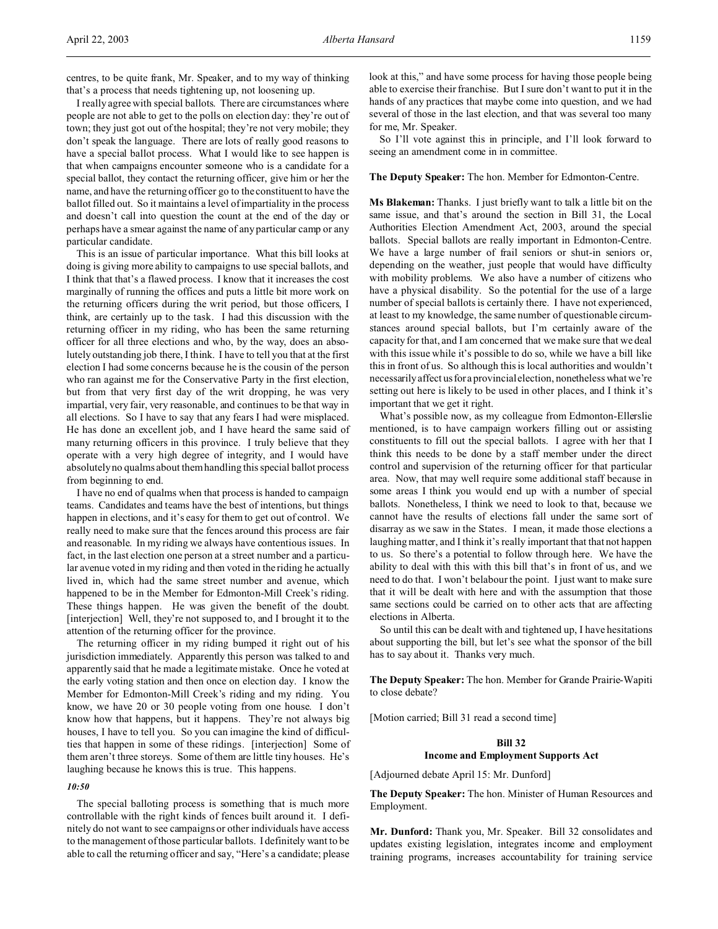centres, to be quite frank, Mr. Speaker, and to my way of thinking that's a process that needs tightening up, not loosening up.

I really agree with special ballots. There are circumstances where people are not able to get to the polls on election day: they're out of town; they just got out of the hospital; they're not very mobile; they don't speak the language. There are lots of really good reasons to have a special ballot process. What I would like to see happen is that when campaigns encounter someone who is a candidate for a special ballot, they contact the returning officer, give him or her the name, and have the returning officer go to the constituent to have the ballot filled out. So it maintains a level of impartiality in the process and doesn't call into question the count at the end of the day or perhaps have a smear against the name of any particular camp or any particular candidate.

This is an issue of particular importance. What this bill looks at doing is giving more ability to campaigns to use special ballots, and I think that that's a flawed process. I know that it increases the cost marginally of running the offices and puts a little bit more work on the returning officers during the writ period, but those officers, I think, are certainly up to the task. I had this discussion with the returning officer in my riding, who has been the same returning officer for all three elections and who, by the way, does an absolutely outstanding job there, I think. I have to tell you that at the first election I had some concerns because he is the cousin of the person who ran against me for the Conservative Party in the first election, but from that very first day of the writ dropping, he was very impartial, very fair, very reasonable, and continues to be that way in all elections. So I have to say that any fears I had were misplaced. He has done an excellent job, and I have heard the same said of many returning officers in this province. I truly believe that they operate with a very high degree of integrity, and I would have absolutely no qualms about them handling this special ballot process from beginning to end.

I have no end of qualms when that process is handed to campaign teams. Candidates and teams have the best of intentions, but things happen in elections, and it's easy for them to get out of control. We really need to make sure that the fences around this process are fair and reasonable. In my riding we always have contentious issues. In fact, in the last election one person at a street number and a particular avenue voted in my riding and then voted in the riding he actually lived in, which had the same street number and avenue, which happened to be in the Member for Edmonton-Mill Creek's riding. These things happen. He was given the benefit of the doubt. [interjection] Well, they're not supposed to, and I brought it to the attention of the returning officer for the province.

The returning officer in my riding bumped it right out of his jurisdiction immediately. Apparently this person was talked to and apparently said that he made a legitimate mistake. Once he voted at the early voting station and then once on election day. I know the Member for Edmonton-Mill Creek's riding and my riding. You know, we have 20 or 30 people voting from one house. I don't know how that happens, but it happens. They're not always big houses, I have to tell you. So you can imagine the kind of difficulties that happen in some of these ridings. [interjection] Some of them aren't three storeys. Some of them are little tiny houses. He's laughing because he knows this is true. This happens.

## *10:50*

The special balloting process is something that is much more controllable with the right kinds of fences built around it. I definitely do not want to see campaigns or other individuals have access to the management of those particular ballots. I definitely want to be able to call the returning officer and say, "Here's a candidate; please look at this," and have some process for having those people being able to exercise their franchise. But I sure don't want to put it in the hands of any practices that maybe come into question, and we had several of those in the last election, and that was several too many for me, Mr. Speaker.

So I'll vote against this in principle, and I'll look forward to seeing an amendment come in in committee.

#### **The Deputy Speaker:** The hon. Member for Edmonton-Centre.

**Ms Blakeman:** Thanks. I just briefly want to talk a little bit on the same issue, and that's around the section in Bill 31, the Local Authorities Election Amendment Act, 2003, around the special ballots. Special ballots are really important in Edmonton-Centre. We have a large number of frail seniors or shut-in seniors or, depending on the weather, just people that would have difficulty with mobility problems. We also have a number of citizens who have a physical disability. So the potential for the use of a large number of special ballots is certainly there. I have not experienced, at least to my knowledge, the same number of questionable circumstances around special ballots, but I'm certainly aware of the capacity for that, and I am concerned that we make sure that we deal with this issue while it's possible to do so, while we have a bill like this in front of us. So although this is local authorities and wouldn't necessarily affect us for a provincial election, nonetheless what we're setting out here is likely to be used in other places, and I think it's important that we get it right.

What's possible now, as my colleague from Edmonton-Ellerslie mentioned, is to have campaign workers filling out or assisting constituents to fill out the special ballots. I agree with her that I think this needs to be done by a staff member under the direct control and supervision of the returning officer for that particular area. Now, that may well require some additional staff because in some areas I think you would end up with a number of special ballots. Nonetheless, I think we need to look to that, because we cannot have the results of elections fall under the same sort of disarray as we saw in the States. I mean, it made those elections a laughing matter, and I think it's really important that that not happen to us. So there's a potential to follow through here. We have the ability to deal with this with this bill that's in front of us, and we need to do that. I won't belabour the point. I just want to make sure that it will be dealt with here and with the assumption that those same sections could be carried on to other acts that are affecting elections in Alberta.

So until this can be dealt with and tightened up, I have hesitations about supporting the bill, but let's see what the sponsor of the bill has to say about it. Thanks very much.

**The Deputy Speaker:** The hon. Member for Grande Prairie-Wapiti to close debate?

[Motion carried; Bill 31 read a second time]

## **Bill 32**

#### **Income and Employment Supports Act**

[Adjourned debate April 15: Mr. Dunford]

**The Deputy Speaker:** The hon. Minister of Human Resources and Employment.

**Mr. Dunford:** Thank you, Mr. Speaker. Bill 32 consolidates and updates existing legislation, integrates income and employment training programs, increases accountability for training service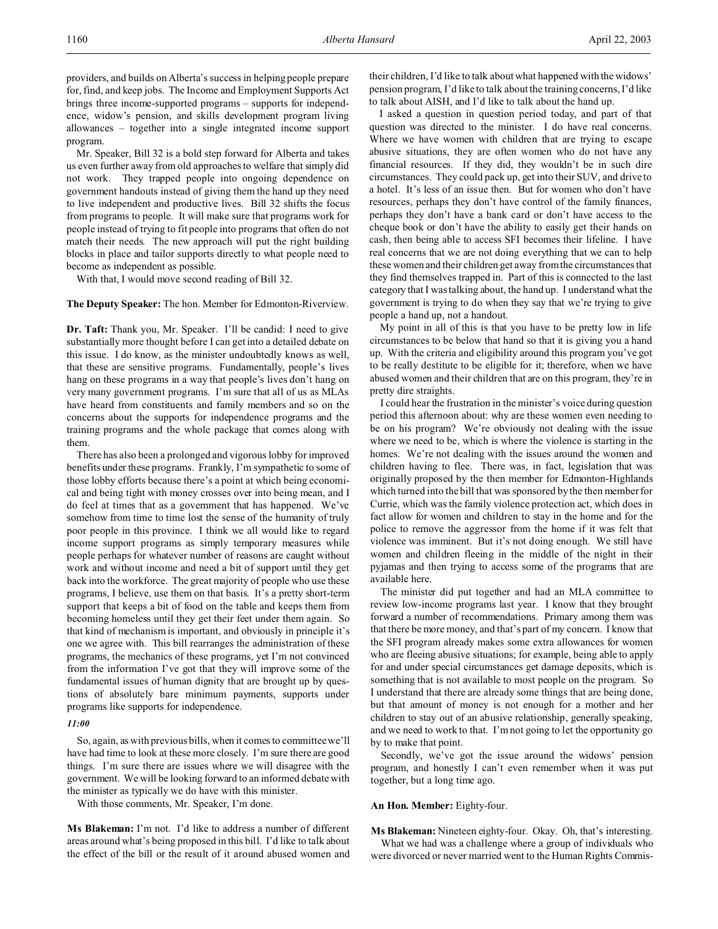providers, and builds on Alberta's success in helping people prepare for, find, and keep jobs. The Income and Employment Supports Act brings three income-supported programs – supports for independence, widow's pension, and skills development program living allowances – together into a single integrated income support program.

Mr. Speaker, Bill 32 is a bold step forward for Alberta and takes us even further away from old approaches to welfare that simply did not work. They trapped people into ongoing dependence on government handouts instead of giving them the hand up they need to live independent and productive lives. Bill 32 shifts the focus from programs to people. It will make sure that programs work for people instead of trying to fit people into programs that often do not match their needs. The new approach will put the right building blocks in place and tailor supports directly to what people need to become as independent as possible.

With that, I would move second reading of Bill 32.

**The Deputy Speaker:** The hon. Member for Edmonton-Riverview.

**Dr. Taft:** Thank you, Mr. Speaker. I'll be candid: I need to give substantially more thought before I can get into a detailed debate on this issue. I do know, as the minister undoubtedly knows as well, that these are sensitive programs. Fundamentally, people's lives hang on these programs in a way that people's lives don't hang on very many government programs. I'm sure that all of us as MLAs have heard from constituents and family members and so on the concerns about the supports for independence programs and the training programs and the whole package that comes along with them.

There has also been a prolonged and vigorous lobby for improved benefits under these programs. Frankly, I'm sympathetic to some of those lobby efforts because there's a point at which being economical and being tight with money crosses over into being mean, and I do feel at times that as a government that has happened. We've somehow from time to time lost the sense of the humanity of truly poor people in this province. I think we all would like to regard income support programs as simply temporary measures while people perhaps for whatever number of reasons are caught without work and without income and need a bit of support until they get back into the workforce. The great majority of people who use these programs, I believe, use them on that basis. It's a pretty short-term support that keeps a bit of food on the table and keeps them from becoming homeless until they get their feet under them again. So that kind of mechanism is important, and obviously in principle it's one we agree with. This bill rearranges the administration of these programs, the mechanics of these programs, yet I'm not convinced from the information I've got that they will improve some of the fundamental issues of human dignity that are brought up by questions of absolutely bare minimum payments, supports under programs like supports for independence.

## *11:00*

So, again, as with previous bills, when it comes to committee we'll have had time to look at these more closely. I'm sure there are good things. I'm sure there are issues where we will disagree with the government. We will be looking forward to an informed debate with the minister as typically we do have with this minister.

With those comments, Mr. Speaker, I'm done.

**Ms Blakeman:** I'm not. I'd like to address a number of different areas around what's being proposed in this bill. I'd like to talk about the effect of the bill or the result of it around abused women and their children, I'd like to talk about what happened with the widows' pension program, I'd like to talk about the training concerns, I'd like to talk about AISH, and I'd like to talk about the hand up.

I asked a question in question period today, and part of that question was directed to the minister. I do have real concerns. Where we have women with children that are trying to escape abusive situations, they are often women who do not have any financial resources. If they did, they wouldn't be in such dire circumstances. They could pack up, get into their SUV, and drive to a hotel. It's less of an issue then. But for women who don't have resources, perhaps they don't have control of the family finances, perhaps they don't have a bank card or don't have access to the cheque book or don't have the ability to easily get their hands on cash, then being able to access SFI becomes their lifeline. I have real concerns that we are not doing everything that we can to help these women and their children get away from the circumstances that they find themselves trapped in. Part of this is connected to the last category that I was talking about, the hand up. I understand what the government is trying to do when they say that we're trying to give people a hand up, not a handout.

My point in all of this is that you have to be pretty low in life circumstances to be below that hand so that it is giving you a hand up. With the criteria and eligibility around this program you've got to be really destitute to be eligible for it; therefore, when we have abused women and their children that are on this program, they're in pretty dire straights.

I could hear the frustration in the minister's voice during question period this afternoon about: why are these women even needing to be on his program? We're obviously not dealing with the issue where we need to be, which is where the violence is starting in the homes. We're not dealing with the issues around the women and children having to flee. There was, in fact, legislation that was originally proposed by the then member for Edmonton-Highlands which turned into the bill that was sponsored by the then member for Currie, which was the family violence protection act, which does in fact allow for women and children to stay in the home and for the police to remove the aggressor from the home if it was felt that violence was imminent. But it's not doing enough. We still have women and children fleeing in the middle of the night in their pyjamas and then trying to access some of the programs that are available here.

The minister did put together and had an MLA committee to review low-income programs last year. I know that they brought forward a number of recommendations. Primary among them was that there be more money, and that's part of my concern. I know that the SFI program already makes some extra allowances for women who are fleeing abusive situations; for example, being able to apply for and under special circumstances get damage deposits, which is something that is not available to most people on the program. So I understand that there are already some things that are being done, but that amount of money is not enough for a mother and her children to stay out of an abusive relationship, generally speaking, and we need to work to that. I'm not going to let the opportunity go by to make that point.

Secondly, we've got the issue around the widows' pension program, and honestly I can't even remember when it was put together, but a long time ago.

## **An Hon. Member:** Eighty-four.

**Ms Blakeman:** Nineteen eighty-four. Okay. Oh, that's interesting.

What we had was a challenge where a group of individuals who were divorced or never married went to the Human Rights Commis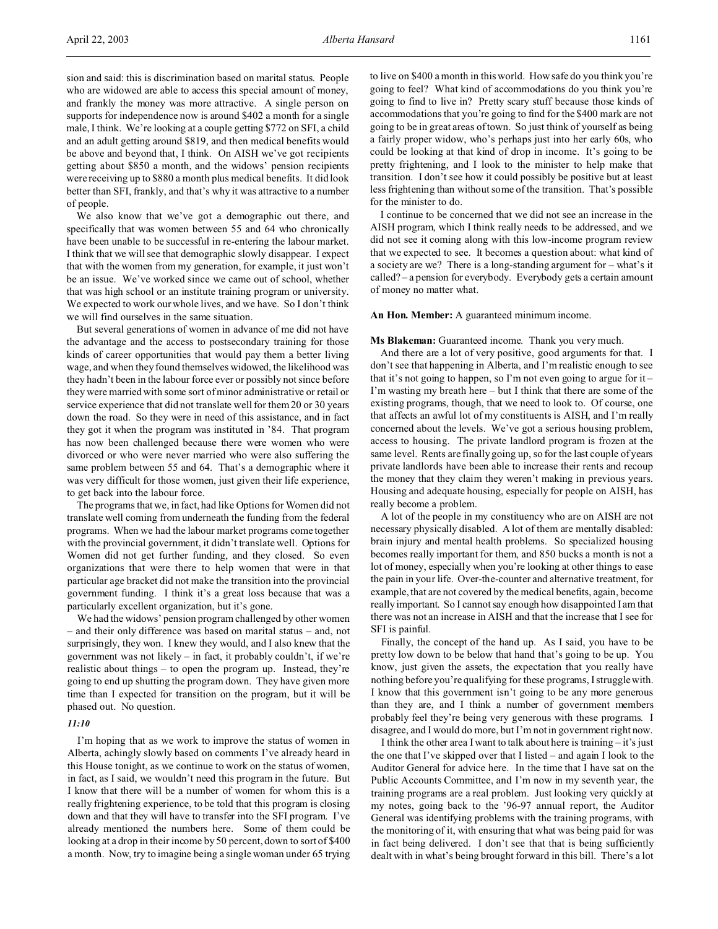sion and said: this is discrimination based on marital status. People who are widowed are able to access this special amount of money, and frankly the money was more attractive. A single person on supports for independence now is around \$402 a month for a single male, I think. We're looking at a couple getting \$772 on SFI, a child and an adult getting around \$819, and then medical benefits would be above and beyond that, I think. On AISH we've got recipients getting about \$850 a month, and the widows' pension recipients were receiving up to \$880 a month plus medical benefits. It did look better than SFI, frankly, and that's why it was attractive to a number of people.

We also know that we've got a demographic out there, and specifically that was women between 55 and 64 who chronically have been unable to be successful in re-entering the labour market. I think that we will see that demographic slowly disappear. I expect that with the women from my generation, for example, it just won't be an issue. We've worked since we came out of school, whether that was high school or an institute training program or university. We expected to work our whole lives, and we have. So I don't think we will find ourselves in the same situation.

But several generations of women in advance of me did not have the advantage and the access to postsecondary training for those kinds of career opportunities that would pay them a better living wage, and when they found themselves widowed, the likelihood was they hadn't been in the labour force ever or possibly not since before they were married with some sort of minor administrative or retail or service experience that did not translate well for them 20 or 30 years down the road. So they were in need of this assistance, and in fact they got it when the program was instituted in '84. That program has now been challenged because there were women who were divorced or who were never married who were also suffering the same problem between 55 and 64. That's a demographic where it was very difficult for those women, just given their life experience, to get back into the labour force.

The programs that we, in fact, had like Options for Women did not translate well coming from underneath the funding from the federal programs. When we had the labour market programs come together with the provincial government, it didn't translate well. Options for Women did not get further funding, and they closed. So even organizations that were there to help women that were in that particular age bracket did not make the transition into the provincial government funding. I think it's a great loss because that was a particularly excellent organization, but it's gone.

We had the widows' pension program challenged by other women – and their only difference was based on marital status – and, not surprisingly, they won. I knew they would, and I also knew that the government was not likely – in fact, it probably couldn't, if we're realistic about things – to open the program up. Instead, they're going to end up shutting the program down. They have given more time than I expected for transition on the program, but it will be phased out. No question.

### *11:10*

I'm hoping that as we work to improve the status of women in Alberta, achingly slowly based on comments I've already heard in this House tonight, as we continue to work on the status of women, in fact, as I said, we wouldn't need this program in the future. But I know that there will be a number of women for whom this is a really frightening experience, to be told that this program is closing down and that they will have to transfer into the SFI program. I've already mentioned the numbers here. Some of them could be looking at a drop in their income by 50 percent, down to sort of \$400 a month. Now, try to imagine being a single woman under 65 trying

to live on \$400 a month in this world. How safe do you think you're going to feel? What kind of accommodations do you think you're going to find to live in? Pretty scary stuff because those kinds of accommodations that you're going to find for the \$400 mark are not going to be in great areas of town. So just think of yourself as being a fairly proper widow, who's perhaps just into her early 60s, who could be looking at that kind of drop in income. It's going to be pretty frightening, and I look to the minister to help make that transition. I don't see how it could possibly be positive but at least less frightening than without some of the transition. That's possible for the minister to do.

I continue to be concerned that we did not see an increase in the AISH program, which I think really needs to be addressed, and we did not see it coming along with this low-income program review that we expected to see. It becomes a question about: what kind of a society are we? There is a long-standing argument for – what's it called? – a pension for everybody. Everybody gets a certain amount of money no matter what.

**An Hon. Member:** A guaranteed minimum income.

## **Ms Blakeman:** Guaranteed income. Thank you very much.

And there are a lot of very positive, good arguments for that. I don't see that happening in Alberta, and I'm realistic enough to see that it's not going to happen, so I'm not even going to argue for it – I'm wasting my breath here – but I think that there are some of the existing programs, though, that we need to look to. Of course, one that affects an awful lot of my constituents is AISH, and I'm really concerned about the levels. We've got a serious housing problem, access to housing. The private landlord program is frozen at the same level. Rents are finally going up, so for the last couple of years private landlords have been able to increase their rents and recoup the money that they claim they weren't making in previous years. Housing and adequate housing, especially for people on AISH, has really become a problem.

A lot of the people in my constituency who are on AISH are not necessary physically disabled. A lot of them are mentally disabled: brain injury and mental health problems. So specialized housing becomes really important for them, and 850 bucks a month is not a lot of money, especially when you're looking at other things to ease the pain in your life. Over-the-counter and alternative treatment, for example, that are not covered by the medical benefits, again, become really important. So I cannot say enough how disappointed I am that there was not an increase in AISH and that the increase that I see for SFI is painful.

Finally, the concept of the hand up. As I said, you have to be pretty low down to be below that hand that's going to be up. You know, just given the assets, the expectation that you really have nothing before you're qualifying for these programs, I struggle with. I know that this government isn't going to be any more generous than they are, and I think a number of government members probably feel they're being very generous with these programs. I disagree, and I would do more, but I'm not in government right now.

I think the other area I want to talk about here is training  $-$  it's just the one that I've skipped over that I listed – and again I look to the Auditor General for advice here. In the time that I have sat on the Public Accounts Committee, and I'm now in my seventh year, the training programs are a real problem. Just looking very quickly at my notes, going back to the '96-97 annual report, the Auditor General was identifying problems with the training programs, with the monitoring of it, with ensuring that what was being paid for was in fact being delivered. I don't see that that is being sufficiently dealt with in what's being brought forward in this bill. There's a lot